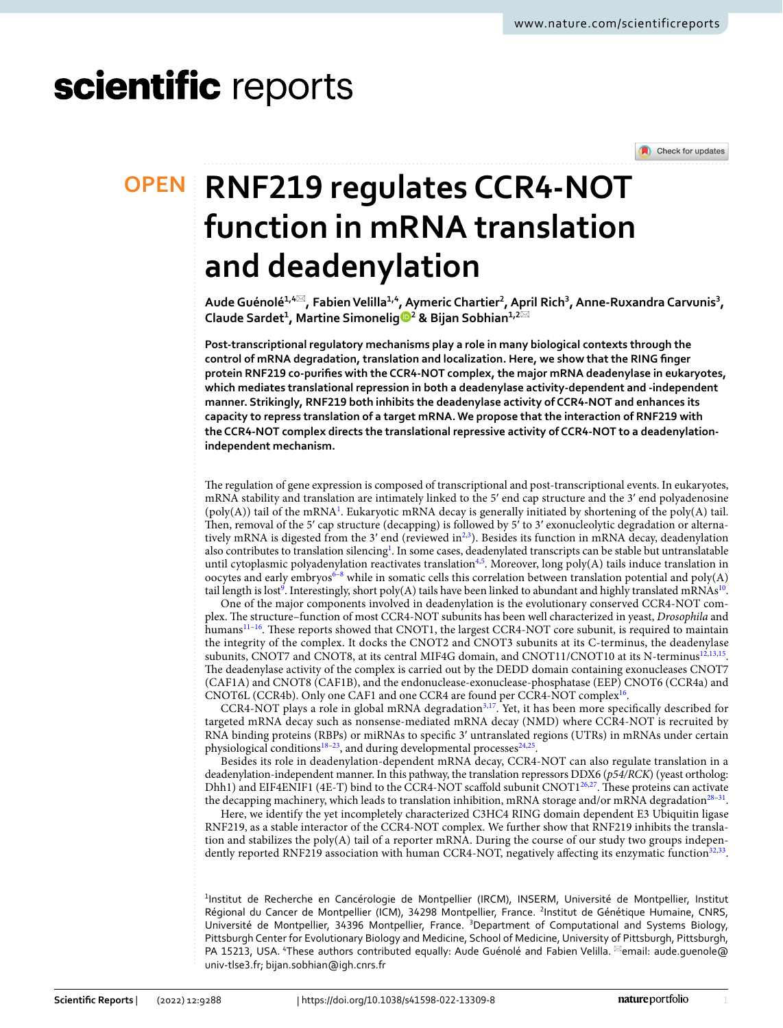# scientific reports

Check for updates

# **RNF219 regulates CCR4‑NOT OPEN function in mRNA translation and deadenylation**

**AudeGuénolé1,4**\***, FabienVelilla1,4, Aymeric Chartier2 , April Rich3 , Anne‑Ruxandra Carvunis3 ,**   $\blacksquare$ Claude Sardet<sup>1</sup>, Martine Simonelig $\blacksquare$ <sup>[2](http://orcid.org/0000-0002-3731-6979)</sup> & Bijan Sobhian $^{1,2\%}$ 

**Post-transcriptional regulatory mechanisms play a role in many biological contexts through the control of mRNA degradation, translation and localization. Here, we show that the RING fnger protein RNF219 co-purifes with the CCR4-NOT complex, the major mRNA deadenylase in eukaryotes, which mediates translational repression in both a deadenylase activity-dependent and -independent manner. Strikingly, RNF219 both inhibits the deadenylase activity of CCR4-NOT and enhances its capacity to repress translation of a target mRNA. We propose that the interaction of RNF219 with the CCR4-NOT complex directs the translational repressive activity of CCR4-NOT to a deadenylationindependent mechanism.**

The regulation of gene expression is composed of transcriptional and post-transcriptional events. In eukaryotes, mRNA stability and translation are intimately linked to the 5′ end cap structure and the 3′ end polyadenosine  $(poly(A))$  tail of the mRNA<sup>1</sup>. Eukaryotic mRNA decay is generally initiated by shortening of the poly(A) tail. Then, removal of the 5' cap structure (decapping) is followed by 5' to 3' exonucleolytic degradation or alterna-tively mRNA is digested from the [3](#page-14-2)' end (reviewed in<sup>2,3</sup>). Besides its function in mRNA decay, deadenylation also contributes to translation silencing<sup>1</sup>. In some cases, deadenylated transcripts can be stable but untranslatable until cytoplasmic polyadenylation reactivates translation<sup>[4,](#page-14-3)[5](#page-14-4)</sup>. Moreover, long poly(A) tails induce translation in oocytes and early embryos<sup>6-[8](#page-14-6)</sup> while in somatic cells this correlation between translation potential and poly(A) tail length is lost $^9$  $^9$ . Interestingly, short poly(A) tails have been linked to abundant and highly translated mRNAs $^{10}$  $^{10}$  $^{10}$ .

One of the major components involved in deadenylation is the evolutionary conserved CCR4-NOT complex. The structure–function of most CCR4-NOT subunits has been well characterized in yeast, *Drosophila* and humans<sup>[11–](#page-14-9)[16](#page-15-0)</sup>. These reports showed that CNOT1, the largest CCR4-NOT core subunit, is required to maintain the integrity of the complex. It docks the CNOT2 and CNOT3 subunits at its C-terminus, the deadenylase subunits, CNOT7 and CNOT8, at its central MIF4G domain, and CNOT11/CNOT10 at its N-terminus<sup>12[,13](#page-14-11)[,15](#page-15-1)</sup>. The deadenylase activity of the complex is carried out by the DEDD domain containing exonucleases CNOT7 (CAF1A) and CNOT8 (CAF1B), and the endonuclease-exonuclease-phosphatase (EEP) CNOT6 (CCR4a) and CNOT6L (CCR4b). Only one CAF1 and one CCR4 are found per CCR4-NOT complex[16.](#page-15-0)

CCR4-NOT plays a role in global mRNA degradation<sup>3,[17](#page-15-2)</sup>. Yet, it has been more specifically described for targeted mRNA decay such as nonsense-mediated mRNA decay (NMD) where CCR4-NOT is recruited by RNA binding proteins (RBPs) or miRNAs to specifc 3′ untranslated regions (UTRs) in mRNAs under certain physiological conditions<sup>18–23</sup>, and during developmental processes<sup>24[,25](#page-15-6)</sup>.

Besides its role in deadenylation-dependent mRNA decay, CCR4-NOT can also regulate translation in a deadenylation-independent manner. In this pathway, the translation repressors DDX6 (*p54/RCK*) (yeast ortholog: Dhh1) and EIF4ENIF1 (4E-T) bind to the CCR4-NOT scaffold subunit CNOT1<sup>[26](#page-15-7),[27](#page-15-8)</sup>. These proteins can activate the decapping machinery, which leads to translation inhibition, mRNA storage and/or mRNA degradation<sup>[28](#page-15-9)-31</sup>.

Here, we identify the yet incompletely characterized C3HC4 RING domain dependent E3 Ubiquitin ligase RNF219, as a stable interactor of the CCR4-NOT complex. We further show that RNF219 inhibits the translation and stabilizes the poly(A) tail of a reporter mRNA. During the course of our study two groups indepen-dently reported RNF219 association with human CCR4-NOT, negatively affecting its enzymatic function<sup>32[,33](#page-15-12)</sup>.

<sup>1</sup>Institut de Recherche en Cancérologie de Montpellier (IRCM), INSERM, Université de Montpellier, Institut Régional du Cancer de Montpellier (ICM), 34298 Montpellier, France. <sup>2</sup>Institut de Génétique Humaine, CNRS, Université de Montpellier, 34396 Montpellier, France. <sup>3</sup>Department of Computational and Systems Biology, Pittsburgh Center for Evolutionary Biology and Medicine, School of Medicine, University of Pittsburgh, Pittsburgh, PA 15213, USA. <sup>4</sup>These authors contributed equally: Aude Guénolé and Fabien Velilla. <sup>[2]</sup>email: aude.guenole@ univ-tlse3.fr; bijan.sobhian@igh.cnrs.fr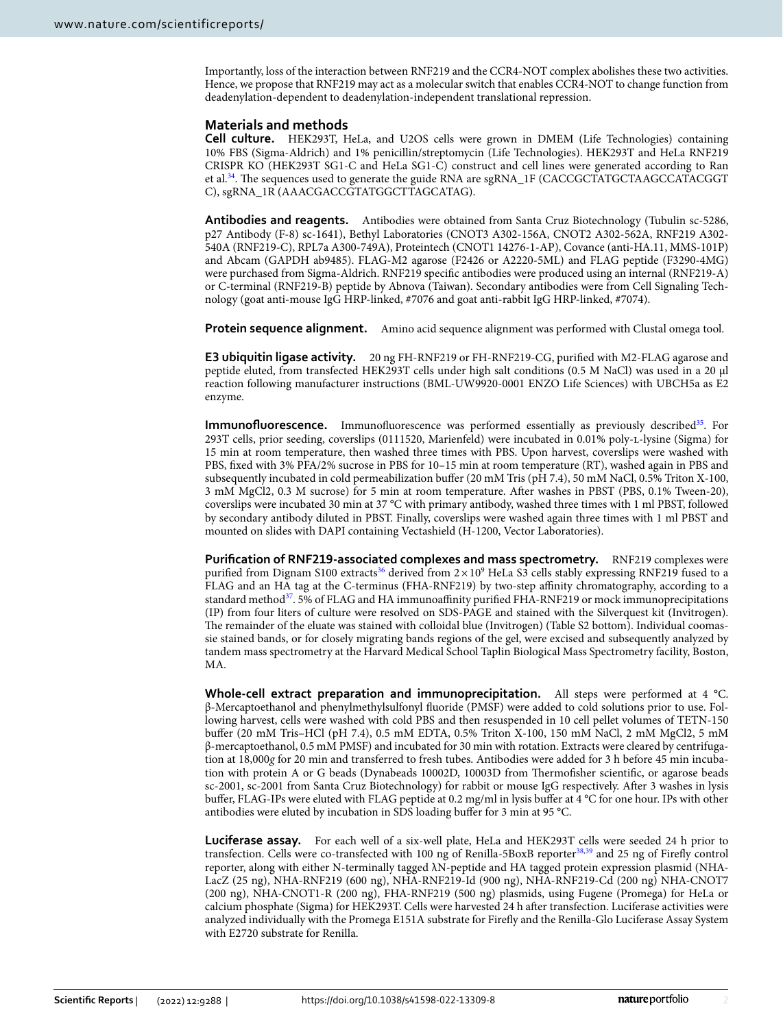Importantly, loss of the interaction between RNF219 and the CCR4-NOT complex abolishes these two activities. Hence, we propose that RNF219 may act as a molecular switch that enables CCR4-NOT to change function from deadenylation-dependent to deadenylation-independent translational repression.

### <span id="page-1-0"></span>**Materials and methods**

**Cell culture.** HEK293T, HeLa, and U2OS cells were grown in DMEM (Life Technologies) containing 10% FBS (Sigma-Aldrich) and 1% penicillin/streptomycin (Life Technologies). HEK293T and HeLa RNF219 CRISPR KO (HEK293T SG1-C and HeLa SG1-C) construct and cell lines were generated according to Ran et al.<sup>34</sup>. The sequences used to generate the guide RNA are sgRNA\_1F (CACCGCTATGCTAAGCCATACGGT) C), sgRNA\_1R (AAACGACCGTATGGCTTAGCATAG).

**Antibodies and reagents.** Antibodies were obtained from Santa Cruz Biotechnology (Tubulin sc-5286, p27 Antibody (F-8) sc-1641), Bethyl Laboratories (CNOT3 A302-156A, CNOT2 A302-562A, RNF219 A302- 540A (RNF219-C), RPL7a A300-749A), Proteintech (CNOT1 14276-1-AP), Covance (anti-HA.11, MMS-101P) and Abcam (GAPDH ab9485). FLAG-M2 agarose (F2426 or A2220-5ML) and FLAG peptide (F3290-4MG) were purchased from Sigma-Aldrich. RNF219 specifc antibodies were produced using an internal (RNF219-A) or C-terminal (RNF219-B) peptide by Abnova (Taiwan). Secondary antibodies were from Cell Signaling Technology (goat anti-mouse IgG HRP-linked, #7076 and goat anti-rabbit IgG HRP-linked, #7074).

**Protein sequence alignment.** Amino acid sequence alignment was performed with Clustal omega tool.

**E3 ubiquitin ligase activity.** 20 ng FH-RNF219 or FH-RNF219-CG, purifed with M2-FLAG agarose and peptide eluted, from transfected HEK293T cells under high salt conditions (0.5 M NaCl) was used in a 20 µl reaction following manufacturer instructions (BML-UW9920-0001 ENZO Life Sciences) with UBCH5a as E2 enzyme.

**Immunofluorescence.** Immunofluorescence was performed essentially as previously described<sup>[35](#page-15-14)</sup>. For 293T cells, prior seeding, coverslips (0111520, Marienfeld) were incubated in 0.01% poly-l-lysine (Sigma) for 15 min at room temperature, then washed three times with PBS. Upon harvest, coverslips were washed with PBS, fxed with 3% PFA/2% sucrose in PBS for 10–15 min at room temperature (RT), washed again in PBS and subsequently incubated in cold permeabilization bufer (20 mM Tris (pH 7.4), 50 mM NaCl, 0.5% Triton X-100, 3 mM MgCl2, 0.3 M sucrose) for 5 min at room temperature. Afer washes in PBST (PBS, 0.1% Tween-20), coverslips were incubated 30 min at 37 °C with primary antibody, washed three times with 1 ml PBST, followed by secondary antibody diluted in PBST. Finally, coverslips were washed again three times with 1 ml PBST and mounted on slides with DAPI containing Vectashield (H-1200, Vector Laboratories).

**Purifcation of RNF219‑associated complexes and mass spectrometry.** RNF219 complexes were purified from Dignam S100 extracts<sup>36</sup> derived from 2×10<sup>9</sup> HeLa S3 cells stably expressing RNF219 fused to a FLAG and an HA tag at the C-terminus (FHA-RNF219) by two-step afnity chromatography, according to a standard method<sup>37</sup>. 5% of FLAG and HA immunoaffinity purified FHA-RNF219 or mock immunoprecipitations (IP) from four liters of culture were resolved on SDS-PAGE and stained with the Silverquest kit (Invitrogen). The remainder of the eluate was stained with colloidal blue (Invitrogen) (Table S2 bottom). Individual coomassie stained bands, or for closely migrating bands regions of the gel, were excised and subsequently analyzed by tandem mass spectrometry at the Harvard Medical School Taplin Biological Mass Spectrometry facility, Boston, MA.

**Whole-cell extract preparation and immunoprecipitation.** All steps were performed at 4 °C. β-Mercaptoethanol and phenylmethylsulfonyl fuoride (PMSF) were added to cold solutions prior to use. Following harvest, cells were washed with cold PBS and then resuspended in 10 cell pellet volumes of TETN-150 bufer (20 mM Tris–HCl (pH 7.4), 0.5 mM EDTA, 0.5% Triton X-100, 150 mM NaCl, 2 mM MgCl2, 5 mM β-mercaptoethanol, 0.5 mM PMSF) and incubated for 30 min with rotation. Extracts were cleared by centrifugation at 18,000*g* for 20 min and transferred to fresh tubes. Antibodies were added for 3 h before 45 min incubation with protein A or G beads (Dynabeads 10002D, 10003D from Thermofisher scientific, or agarose beads sc-2001, sc-2001 from Santa Cruz Biotechnology) for rabbit or mouse IgG respectively. Afer 3 washes in lysis bufer, FLAG-IPs were eluted with FLAG peptide at 0.2 mg/ml in lysis bufer at 4 °C for one hour. IPs with other antibodies were eluted by incubation in SDS loading bufer for 3 min at 95 °C.

Luciferase assay. For each well of a six-well plate, HeLa and HEK293T cells were seeded 24 h prior to transfection. Cells were co-transfected with 100 ng of Renilla-5BoxB reporte[r38](#page-15-17)[,39](#page-15-18) and 25 ng of Firefy control reporter, along with either N-terminally tagged λN-peptide and HA tagged protein expression plasmid (NHA-LacZ (25 ng), NHA-RNF219 (600 ng), NHA-RNF219-Id (900 ng), NHA-RNF219-Cd (200 ng) NHA-CNOT7 (200 ng), NHA-CNOT1-R (200 ng), FHA-RNF219 (500 ng) plasmids, using Fugene (Promega) for HeLa or calcium phosphate (Sigma) for HEK293T. Cells were harvested 24 h afer transfection. Luciferase activities were analyzed individually with the Promega E151A substrate for Firefy and the Renilla-Glo Luciferase Assay System with E2720 substrate for Renilla.

2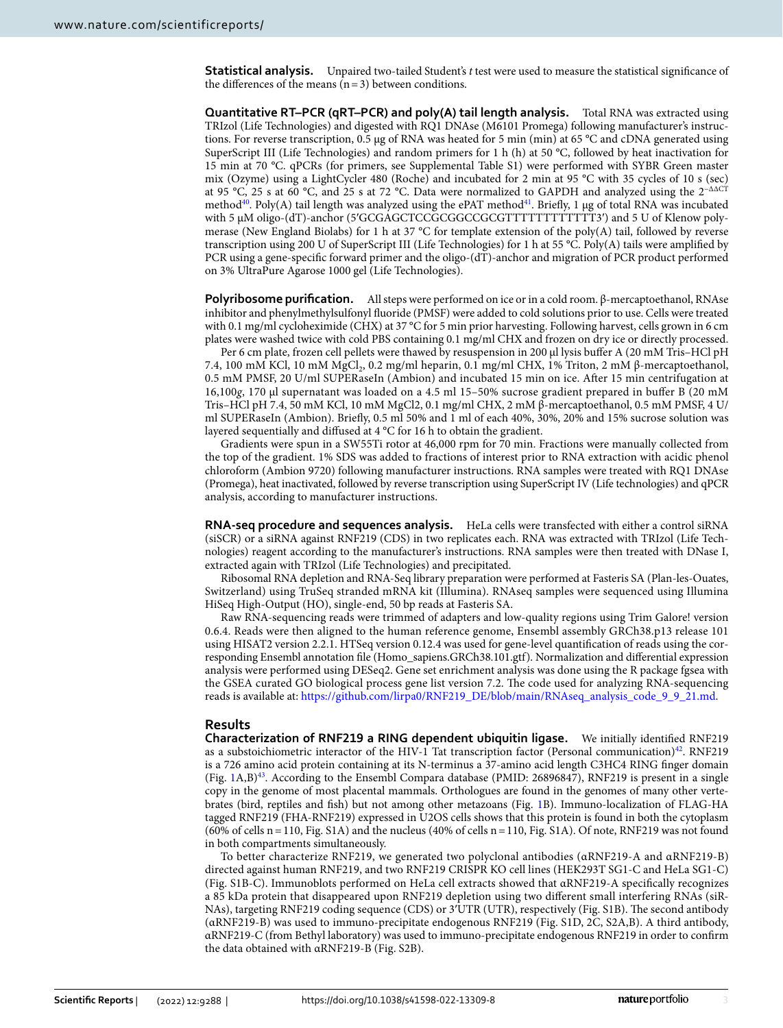**Statistical analysis.** Unpaired two-tailed Student's *t* test were used to measure the statistical signifcance of the differences of the means  $(n=3)$  between conditions.

**Quantitative RT–PCR (qRT–PCR) and poly(A) tail length analysis.** Total RNA was extracted using TRIzol (Life Technologies) and digested with RQ1 DNAse (M6101 Promega) following manufacturer's instructions. For reverse transcription, 0.5 µg of RNA was heated for 5 min (min) at 65 °C and cDNA generated using SuperScript III (Life Technologies) and random primers for 1 h (h) at 50 °C, followed by heat inactivation for 15 min at 70 °C. qPCRs (for primers, see Supplemental Table S1) were performed with SYBR Green master mix (Ozyme) using a LightCycler 480 (Roche) and incubated for 2 min at 95 °C with 35 cycles of 10 s (sec) at 95 °C, 25 s at 60 °C, and 25 s at 72 °C. Data were normalized to GAPDH and analyzed using the 2−ΔΔCT method<sup>40</sup>. Poly(A) tail length was analyzed using the ePAT method<sup>[41](#page-15-20)</sup>. Briefly, 1 µg of total RNA was incubated with 5 μM oligo-(dT)-anchor (5'GCGAGCTCCGCGGCGGCGTTTTTTTTTTT3') and 5 U of Klenow polymerase (New England Biolabs) for 1 h at 37 °C for template extension of the poly(A) tail, followed by reverse transcription using 200 U of SuperScript III (Life Technologies) for 1 h at 55 °C. Poly(A) tails were amplifed by PCR using a gene-specifc forward primer and the oligo-(dT)-anchor and migration of PCR product performed on 3% UltraPure Agarose 1000 gel (Life Technologies).

**Polyribosome purifcation.** All steps were performed on ice or in a cold room. β-mercaptoethanol, RNAse inhibitor and phenylmethylsulfonyl fuoride (PMSF) were added to cold solutions prior to use. Cells were treated with 0.1 mg/ml cycloheximide (CHX) at 37 °C for 5 min prior harvesting. Following harvest, cells grown in 6 cm plates were washed twice with cold PBS containing 0.1 mg/ml CHX and frozen on dry ice or directly processed.

Per 6 cm plate, frozen cell pellets were thawed by resuspension in 200 µl lysis buffer A (20 mM Tris–HCl pH 7.4, 100 mM KCl, 10 mM MgCl<sub>2</sub>, 0.2 mg/ml heparin, 0.1 mg/ml CHX, 1% Triton, 2 mM β-mercaptoethanol, 0.5 mM PMSF, 20 U/ml SUPERaseIn (Ambion) and incubated 15 min on ice. Afer 15 min centrifugation at 16,100*g*, 170 µl supernatant was loaded on a 4.5 ml 15–50% sucrose gradient prepared in bufer B (20 mM Tris–HCl pH 7.4, 50 mM KCl, 10 mM MgCl2, 0.1 mg/ml CHX, 2 mM β-mercaptoethanol, 0.5 mM PMSF, 4 U/ ml SUPERaseIn (Ambion). Briefy, 0.5 ml 50% and 1 ml of each 40%, 30%, 20% and 15% sucrose solution was layered sequentially and difused at 4 °C for 16 h to obtain the gradient.

Gradients were spun in a SW55Ti rotor at 46,000 rpm for 70 min. Fractions were manually collected from the top of the gradient. 1% SDS was added to fractions of interest prior to RNA extraction with acidic phenol chloroform (Ambion 9720) following manufacturer instructions. RNA samples were treated with RQ1 DNAse (Promega), heat inactivated, followed by reverse transcription using SuperScript IV (Life technologies) and qPCR analysis, according to manufacturer instructions.

**RNA‑seq procedure and sequences analysis.** HeLa cells were transfected with either a control siRNA (siSCR) or a siRNA against RNF219 (CDS) in two replicates each. RNA was extracted with TRIzol (Life Technologies) reagent according to the manufacturer's instructions. RNA samples were then treated with DNase I, extracted again with TRIzol (Life Technologies) and precipitated.

Ribosomal RNA depletion and RNA-Seq library preparation were performed at Fasteris SA (Plan-les-Ouates, Switzerland) using TruSeq stranded mRNA kit (Illumina). RNAseq samples were sequenced using Illumina HiSeq High-Output (HO), single-end, 50 bp reads at Fasteris SA.

Raw RNA-sequencing reads were trimmed of adapters and low-quality regions using Trim Galore! version 0.6.4. Reads were then aligned to the human reference genome, Ensembl assembly GRCh38.p13 release 101 using HISAT2 version 2.2.1. HTSeq version 0.12.4 was used for gene-level quantifcation of reads using the corresponding Ensembl annotation fle (Homo\_sapiens.GRCh38.101.gtf). Normalization and diferential expression analysis were performed using DESeq2. Gene set enrichment analysis was done using the R package fgsea with the GSEA curated GO biological process gene list version 7.2. The code used for analyzing RNA-sequencing reads is available at: [https://github.com/lirpa0/RNF219\\_DE/blob/main/RNAseq\\_analysis\\_code\\_9\\_9\\_21.md](https://github.com/lirpa0/RNF219_DE/blob/main/RNAseq_analysis_code_9_9_21.md).

# **Results**

**Characterization of RNF219 a RING dependent ubiquitin ligase.** We initially identifed RNF219 as a substoichiometric interactor of the HIV-1 Tat transcription factor (Personal communication)<sup>[42](#page-15-21)</sup>. RNF219 is a 726 amino acid protein containing at its N-terminus a 37-amino acid length C3HC4 RING fnger domain (Fig. [1](#page-3-0)A,B[\)43.](#page-15-22) According to the Ensembl Compara database (PMID: 26896847), RNF219 is present in a single copy in the genome of most placental mammals. Orthologues are found in the genomes of many other vertebrates (bird, reptiles and fsh) but not among other metazoans (Fig. [1B](#page-3-0)). Immuno-localization of FLAG-HA tagged RNF219 (FHA-RNF219) expressed in U2OS cells shows that this protein is found in both the cytoplasm (60% of cells n=110, Fig. S1A) and the nucleus (40% of cells n=110, Fig. S1A). Of note, RNF219 was not found in both compartments simultaneously.

To better characterize RNF219, we generated two polyclonal antibodies (αRNF219-A and αRNF219-B) directed against human RNF219, and two RNF219 CRISPR KO cell lines (HEK293T SG1-C and HeLa SG1-C) (Fig. S1B-C). Immunoblots performed on HeLa cell extracts showed that αRNF219-A specifcally recognizes a 85 kDa protein that disappeared upon RNF219 depletion using two diferent small interfering RNAs (siR-NAs), targeting RNF219 coding sequence (CDS) or 3'UTR (UTR), respectively (Fig. S1B). The second antibody (αRNF219-B) was used to immuno-precipitate endogenous RNF219 (Fig. S1D, 2C, S2A,B). A third antibody, αRNF219-C (from Bethyl laboratory) was used to immuno-precipitate endogenous RNF219 in order to confrm the data obtained with αRNF219-B (Fig. S2B).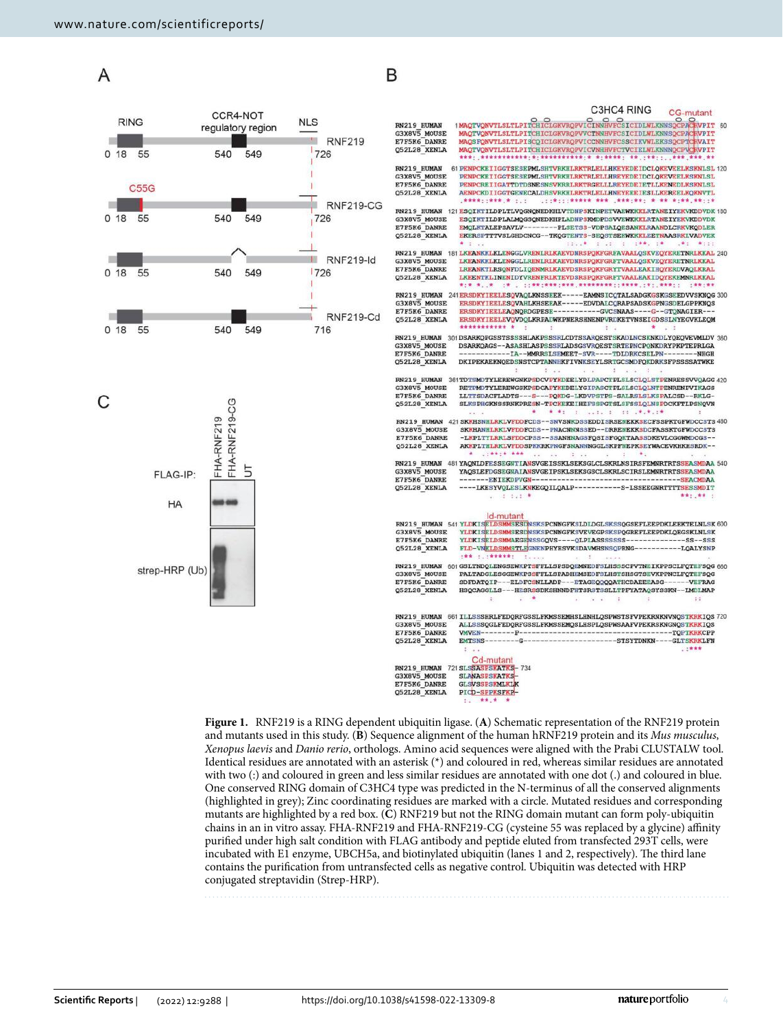

<span id="page-3-0"></span>**Figure 1.** RNF219 is a RING dependent ubiquitin ligase. (**A**) Schematic representation of the RNF219 protein and mutants used in this study. (**B**) Sequence alignment of the human hRNF219 protein and its *Mus musculus*, *Xenopus laevis* and *Danio rerio*, orthologs. Amino acid sequences were aligned with the Prabi CLUSTALW tool. Identical residues are annotated with an asterisk (\*) and coloured in red, whereas similar residues are annotated with two (:) and coloured in green and less similar residues are annotated with one dot (.) and coloured in blue. One conserved RING domain of C3HC4 type was predicted in the N-terminus of all the conserved alignments (highlighted in grey); Zinc coordinating residues are marked with a circle. Mutated residues and corresponding mutants are highlighted by a red box. (**C**) RNF219 but not the RING domain mutant can form poly-ubiquitin chains in an in vitro assay. FHA-RNF219 and FHA-RNF219-CG (cysteine 55 was replaced by a glycine) affinity purifed under high salt condition with FLAG antibody and peptide eluted from transfected 293T cells, were incubated with E1 enzyme, UBCH5a, and biotinylated ubiquitin (lanes 1 and 2, respectively). The third lane contains the purifcation from untransfected cells as negative control. Ubiquitin was detected with HRP conjugated streptavidin (Strep-HRP).

4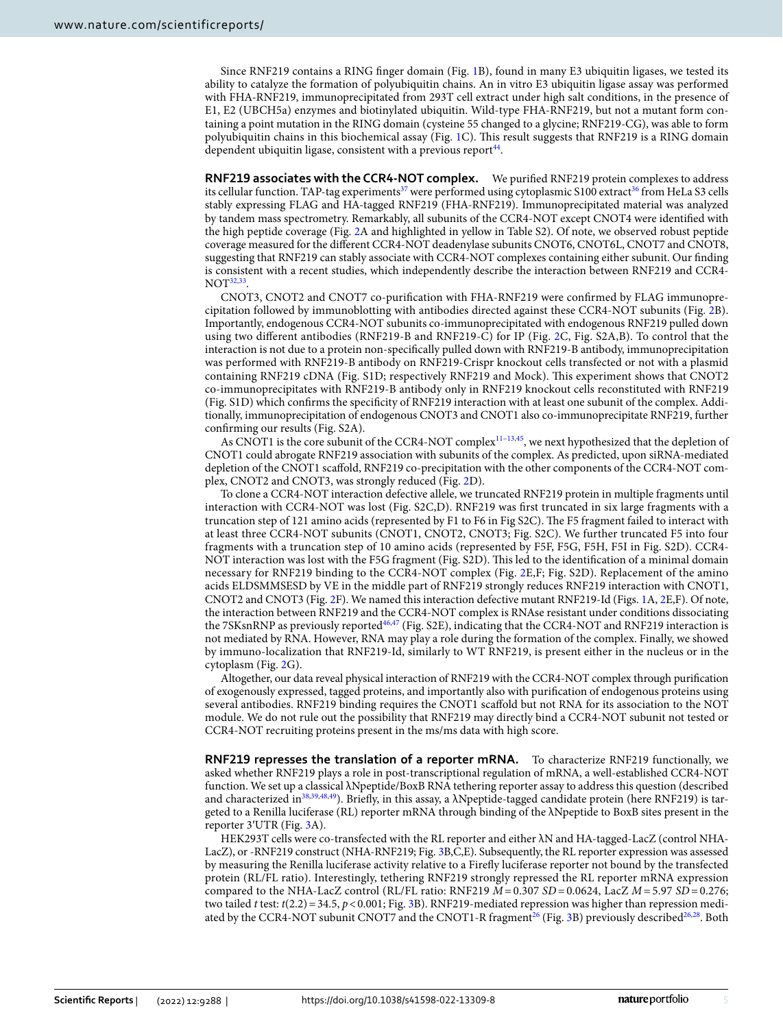Since RNF219 contains a RING fnger domain (Fig. [1B](#page-3-0)), found in many E3 ubiquitin ligases, we tested its ability to catalyze the formation of polyubiquitin chains. An in vitro E3 ubiquitin ligase assay was performed with FHA-RNF219, immunoprecipitated from 293T cell extract under high salt conditions, in the presence of E1, E2 (UBCH5a) enzymes and biotinylated ubiquitin. Wild-type FHA-RNF219, but not a mutant form containing a point mutation in the RING domain (cysteine 55 changed to a glycine; RNF219-CG), was able to form polyubiquitin chains in this biochemical assay (Fig. [1](#page-3-0)C). Tis result suggests that RNF219 is a RING domain dependent ubiquitin ligase, consistent with a previous report<sup>44</sup>.

**RNF219 associates with the CCR4‑NOT complex.** We purifed RNF219 protein complexes to address its cellular function. TAP-tag experiments<sup>[37](#page-15-16)</sup> were performed using cytoplasmic S100 extract<sup>36</sup> from HeLa S3 cells stably expressing FLAG and HA-tagged RNF219 (FHA-RNF219). Immunoprecipitated material was analyzed by tandem mass spectrometry. Remarkably, all subunits of the CCR4-NOT except CNOT4 were identifed with the high peptide coverage (Fig. [2A](#page-6-0) and highlighted in yellow in Table S2). Of note, we observed robust peptide coverage measured for the diferent CCR4-NOT deadenylase subunits CNOT6, CNOT6L, CNOT7 and CNOT8, suggesting that RNF219 can stably associate with CCR4-NOT complexes containing either subunit. Our fnding is consistent with a recent studies, which independently describe the interaction between RNF219 and CCR4- NOT<sup>[32](#page-15-11),[33](#page-15-12)</sup>

CNOT3, CNOT2 and CNOT7 co-purifcation with FHA-RNF219 were confrmed by FLAG immunoprecipitation followed by immunoblotting with antibodies directed against these CCR4-NOT subunits (Fig. [2B](#page-6-0)). Importantly, endogenous CCR4-NOT subunits co-immunoprecipitated with endogenous RNF219 pulled down using two diferent antibodies (RNF219-B and RNF219-C) for IP (Fig. [2](#page-6-0)C, Fig. S2A,B). To control that the interaction is not due to a protein non-specifcally pulled down with RNF219-B antibody, immunoprecipitation was performed with RNF219-B antibody on RNF219-Crispr knockout cells transfected or not with a plasmid containing RNF219 cDNA (Fig. S1D; respectively RNF219 and Mock). Tis experiment shows that CNOT2 co-immunoprecipitates with RNF219-B antibody only in RNF219 knockout cells reconstituted with RNF219 (Fig. S1D) which confrms the specifcity of RNF219 interaction with at least one subunit of the complex. Additionally, immunoprecipitation of endogenous CNOT3 and CNOT1 also co-immunoprecipitate RNF219, further confrming our results (Fig. S2A).

As CNOT1 is the core subunit of the CCR4-NOT complex<sup>11-[13](#page-14-11),[45](#page-15-24)</sup>, we next hypothesized that the depletion of CNOT1 could abrogate RNF219 association with subunits of the complex. As predicted, upon siRNA-mediated depletion of the CNOT1 scafold, RNF219 co-precipitation with the other components of the CCR4-NOT complex, CNOT2 and CNOT3, was strongly reduced (Fig. [2D](#page-6-0)).

To clone a CCR4-NOT interaction defective allele, we truncated RNF219 protein in multiple fragments until interaction with CCR4-NOT was lost (Fig. S2C,D). RNF219 was frst truncated in six large fragments with a truncation step of 121 amino acids (represented by F1 to F6 in Fig S2C). The F5 fragment failed to interact with at least three CCR4-NOT subunits (CNOT1, CNOT2, CNOT3; Fig. S2C). We further truncated F5 into four fragments with a truncation step of 10 amino acids (represented by F5F, F5G, F5H, F5I in Fig. S2D). CCR4- NOT interaction was lost with the F5G fragment (Fig. S2D). Tis led to the identifcation of a minimal domain necessary for RNF219 binding to the CCR4-NOT complex (Fig. [2](#page-6-0)E,F; Fig. S2D). Replacement of the amino acids ELDSMMSESD by VE in the middle part of RNF219 strongly reduces RNF219 interaction with CNOT1, CNOT2 and CNOT3 (Fig. [2](#page-6-0)F). We named this interaction defective mutant RNF219-Id (Figs. [1](#page-3-0)A, [2](#page-6-0)E,F). Of note, the interaction between RNF219 and the CCR4-NOT complex is RNAse resistant under conditions dissociating the 7SKsnRNP as previously reported<sup>46,47</sup> (Fig. S2E), indicating that the CCR4-NOT and RNF219 interaction is not mediated by RNA. However, RNA may play a role during the formation of the complex. Finally, we showed by immuno-localization that RNF219-Id, similarly to WT RNF219, is present either in the nucleus or in the cytoplasm (Fig. [2](#page-6-0)G).

Altogether, our data reveal physical interaction of RNF219 with the CCR4-NOT complex through purifcation of exogenously expressed, tagged proteins, and importantly also with purifcation of endogenous proteins using several antibodies. RNF219 binding requires the CNOT1 scafold but not RNA for its association to the NOT module. We do not rule out the possibility that RNF219 may directly bind a CCR4-NOT subunit not tested or CCR4-NOT recruiting proteins present in the ms/ms data with high score.

**RNF219 represses the translation of a reporter mRNA.** To characterize RNF219 functionally, we asked whether RNF219 plays a role in post-transcriptional regulation of mRNA, a well-established CCR4-NOT function. We set up a classical λNpeptide/BoxB RNA tethering reporter assay to address this question (described and characterized in[38](#page-15-17),[39](#page-15-18)[,48](#page-15-27)[,49](#page-15-28)). Briefy, in this assay, a λNpeptide-tagged candidate protein (here RNF219) is targeted to a Renilla luciferase (RL) reporter mRNA through binding of the λNpeptide to BoxB sites present in the reporter 3′UTR (Fig. [3A](#page-8-0)).

HEK293T cells were co-transfected with the RL reporter and either λN and HA-tagged-LacZ (control NHA-LacZ), or -RNF219 construct (NHA-RNF219; Fig. [3B](#page-8-0),C,E). Subsequently, the RL reporter expression was assessed by measuring the Renilla luciferase activity relative to a Firefy luciferase reporter not bound by the transfected protein (RL/FL ratio). Interestingly, tethering RNF219 strongly repressed the RL reporter mRNA expression compared to the NHA-LacZ control (RL/FL ratio: RNF219 *M*= 0.307 *SD* =0.0624, LacZ *M*=5.97 *SD* = 0.276; two tailed *t* test:  $t(2.2) = 34.5$ ,  $p < 0.001$ ; Fig. [3B](#page-8-0)). RNF219-mediated repression was higher than repression medi-ated by the CCR4-NOT subunit CNOT7 and the CNOT1-R fragment<sup>26</sup> (Fig. [3](#page-8-0)B) previously described<sup>[26,](#page-15-7)28</sup>. Both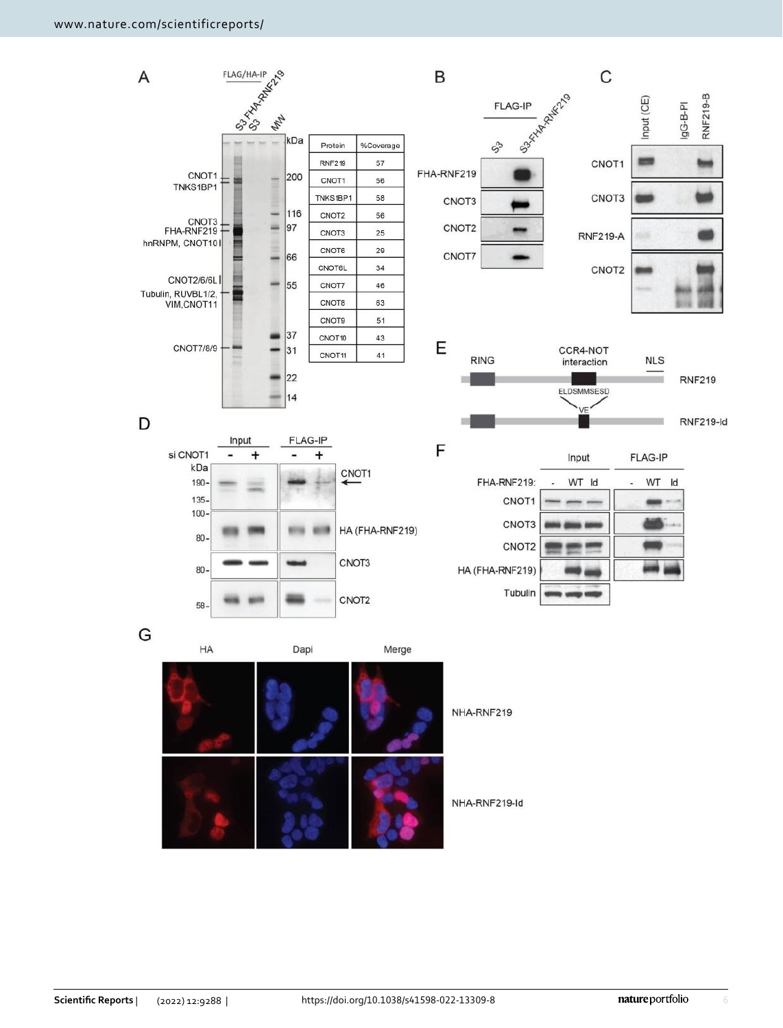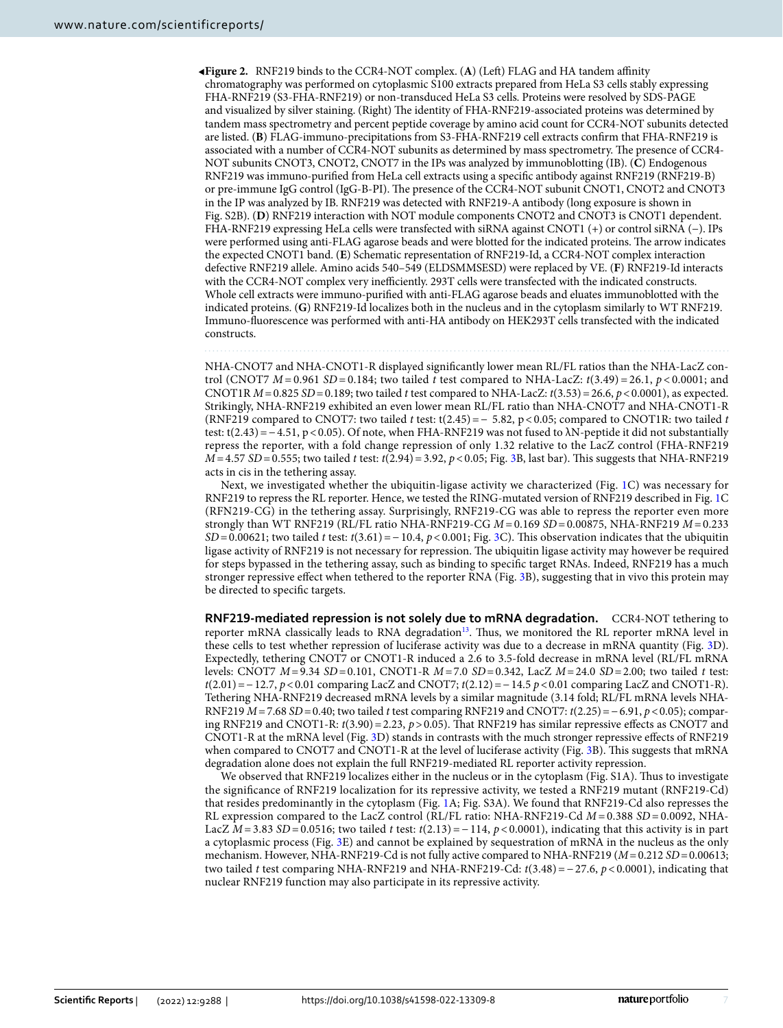<span id="page-6-0"></span>**Figure 2.** RNF219 binds to the CCR4-NOT complex. (**A**) (Lef) FLAG and HA tandem afnity ◂chromatography was performed on cytoplasmic S100 extracts prepared from HeLa S3 cells stably expressing FHA-RNF219 (S3-FHA-RNF219) or non-transduced HeLa S3 cells. Proteins were resolved by SDS-PAGE and visualized by silver staining. (Right) The identity of FHA-RNF219-associated proteins was determined by tandem mass spectrometry and percent peptide coverage by amino acid count for CCR4-NOT subunits detected are listed. (**B**) FLAG-immuno-precipitations from S3-FHA-RNF219 cell extracts confrm that FHA-RNF219 is associated with a number of CCR4-NOT subunits as determined by mass spectrometry. The presence of CCR4-NOT subunits CNOT3, CNOT2, CNOT7 in the IPs was analyzed by immunoblotting (IB). (**C**) Endogenous RNF219 was immuno-purifed from HeLa cell extracts using a specifc antibody against RNF219 (RNF219-B) or pre-immune IgG control (IgG-B-PI). The presence of the CCR4-NOT subunit CNOT1, CNOT2 and CNOT3 in the IP was analyzed by IB. RNF219 was detected with RNF219-A antibody (long exposure is shown in Fig. S2B). (**D**) RNF219 interaction with NOT module components CNOT2 and CNOT3 is CNOT1 dependent. FHA-RNF219 expressing HeLa cells were transfected with siRNA against CNOT1 (+) or control siRNA (−). IPs were performed using anti-FLAG agarose beads and were blotted for the indicated proteins. The arrow indicates the expected CNOT1 band. (**E**) Schematic representation of RNF219-Id, a CCR4-NOT complex interaction defective RNF219 allele. Amino acids 540–549 (ELDSMMSESD) were replaced by VE. (**F**) RNF219-Id interacts with the CCR4-NOT complex very inefficiently. 293T cells were transfected with the indicated constructs. Whole cell extracts were immuno-purifed with anti-FLAG agarose beads and eluates immunoblotted with the indicated proteins. (**G**) RNF219-Id localizes both in the nucleus and in the cytoplasm similarly to WT RNF219. Immuno-fuorescence was performed with anti-HA antibody on HEK293T cells transfected with the indicated constructs.

NHA-CNOT7 and NHA-CNOT1-R displayed signifcantly lower mean RL/FL ratios than the NHA-LacZ control (CNOT7  $M = 0.961$  *SD* = 0.184; two tailed *t* test compared to NHA-LacZ:  $t(3.49) = 26.1$ ,  $p < 0.0001$ ; and CNOT1R *M*=0.825 *SD*=0.189; two tailed *t* test compared to NHA-LacZ: *t*(3.53)=26.6, *p*<0.0001), as expected. Strikingly, NHA-RNF219 exhibited an even lower mean RL/FL ratio than NHA-CNOT7 and NHA-CNOT1-R (RNF219 compared to CNOT7: two tailed *t* test: t(2.45)=− 5.82, p<0.05; compared to CNOT1R: two tailed *t* test: t(2.43)=−4.51, p<0.05). Of note, when FHA-RNF219 was not fused to λN-peptide it did not substantially repress the reporter, with a fold change repression of only 1.32 relative to the LacZ control (FHA-RNF219 *M*=4.57 *SD*=0.555; two tailed *t* test: *t*(2.94)=3.92, *p*<0.05; Fig. [3B](#page-8-0), last bar). Tis suggests that NHA-RNF219 acts in cis in the tethering assay.

Next, we investigated whether the ubiquitin-ligase activity we characterized (Fig. [1](#page-3-0)C) was necessary for RNF219 to repress the RL reporter. Hence, we tested the RING-mutated version of RNF219 described in Fig. [1](#page-3-0)C (RFN219-CG) in the tethering assay. Surprisingly, RNF219-CG was able to repress the reporter even more strongly than WT RNF219 (RL/FL ratio NHA-RNF219-CG *M*=0.169 *SD*=0.00875, NHA-RNF219 *M*=0.233 *SD* = 0.00621; two tailed *t* test: *t*([3](#page-8-0).61) = −10.4, *p* < 0.001; Fig. 3C). This observation indicates that the ubiquitin ligase activity of RNF219 is not necessary for repression. The ubiquitin ligase activity may however be required for steps bypassed in the tethering assay, such as binding to specifc target RNAs. Indeed, RNF219 has a much stronger repressive efect when tethered to the reporter RNA (Fig. [3](#page-8-0)B), suggesting that in vivo this protein may be directed to specifc targets.

**RNF219‑mediated repression is not solely due to mRNA degradation.** CCR4-NOT tethering to reporter mRNA classically leads to RNA degradation<sup>13</sup>. Thus, we monitored the RL reporter mRNA level in these cells to test whether repression of luciferase activity was due to a decrease in mRNA quantity (Fig. [3](#page-8-0)D). Expectedly, tethering CNOT7 or CNOT1-R induced a 2.6 to 3.5-fold decrease in mRNA level (RL/FL mRNA levels: CNOT7 *M*=9.34 *SD*=0.101, CNOT1-R *M*=7.0 *SD*=0.342, LacZ *M*=24.0 *SD*=2.00; two tailed *t* test: *t*(2.01) = −12.7, *p* < 0.01 comparing LacZ and CNOT7; *t*(2.12) = −14.5 *p* < 0.01 comparing LacZ and CNOT1-R). Tethering NHA-RNF219 decreased mRNA levels by a similar magnitude (3.14 fold; RL/FL mRNA levels NHA-RNF219 *M*=7.68 *SD*=0.40; two tailed *t* test comparing RNF219 and CNOT7: *t*(2.25)=−6.91, *p*<0.05); comparing RNF219 and CNOT1-R: *t*(3.90)=2.23, *p*>0.05). Tat RNF219 has similar repressive efects as CNOT7 and CNOT1-R at the mRNA level (Fig. [3D](#page-8-0)) stands in contrasts with the much stronger repressive efects of RNF219 when compared to CNOT7 and CNOT1-R at the level of luciferase activity (Fig. [3](#page-8-0)B). This suggests that mRNA degradation alone does not explain the full RNF219-mediated RL reporter activity repression.

We observed that RNF219 localizes either in the nucleus or in the cytoplasm (Fig. S1A). Thus to investigate the signifcance of RNF219 localization for its repressive activity, we tested a RNF219 mutant (RNF219-Cd) that resides predominantly in the cytoplasm (Fig. [1A](#page-3-0); Fig. S3A). We found that RNF219-Cd also represses the RL expression compared to the LacZ control (RL/FL ratio: NHA-RNF219-Cd *M*= 0.388 *SD* = 0.0092, NHA-LacZ *M*= 3.83 *SD* =0.0516; two tailed *t* test: *t*(2.13) = − 114, *p* < 0.0001), indicating that this activity is in part a cytoplasmic process (Fig. [3](#page-8-0)E) and cannot be explained by sequestration of mRNA in the nucleus as the only mechanism. However, NHA-RNF219-Cd is not fully active compared to NHA-RNF219 (*M*=0.212 *SD*=0.00613; two tailed *t* test comparing NHA-RNF219 and NHA-RNF219-Cd: *t*(3.48)=−27.6, *p*<0.0001), indicating that nuclear RNF219 function may also participate in its repressive activity.

7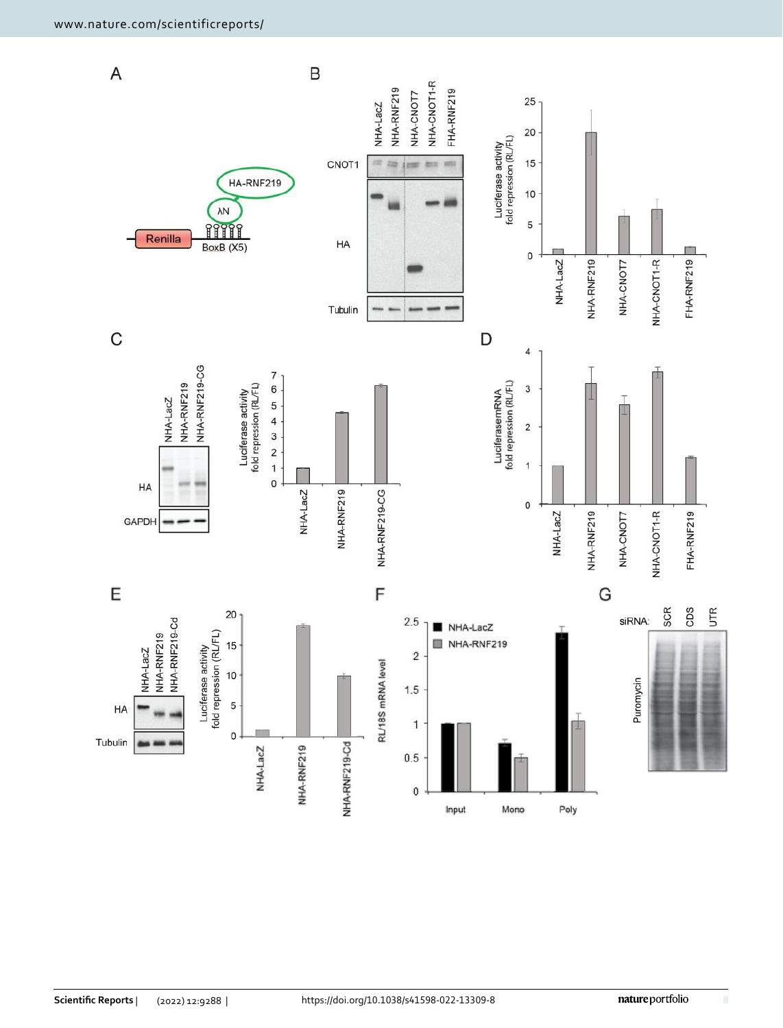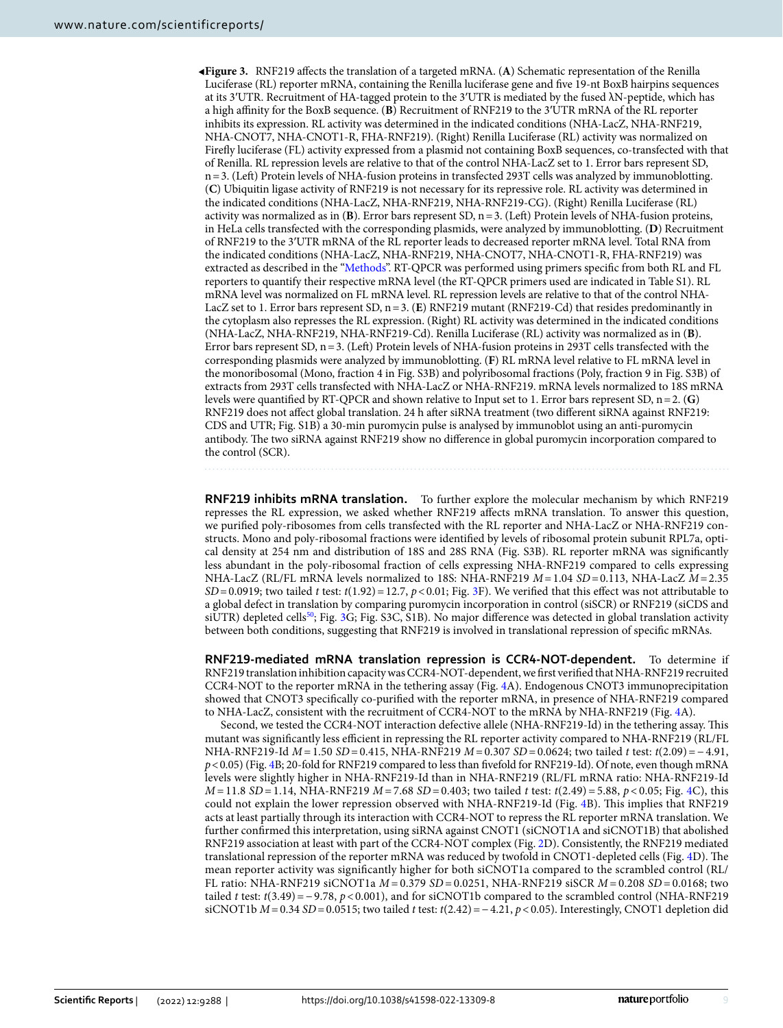<span id="page-8-0"></span>**Figure 3.** RNF219 afects the translation of a targeted mRNA. (**A**) Schematic representation of the Renilla ◂Luciferase (RL) reporter mRNA, containing the Renilla luciferase gene and fve 19-nt BoxB hairpins sequences at its 3′UTR. Recruitment of HA-tagged protein to the 3′UTR is mediated by the fused λN-peptide, which has a high afnity for the BoxB sequence. (**B**) Recruitment of RNF219 to the 3′UTR mRNA of the RL reporter inhibits its expression. RL activity was determined in the indicated conditions (NHA-LacZ, NHA-RNF219, NHA-CNOT7, NHA-CNOT1-R, FHA-RNF219). (Right) Renilla Luciferase (RL) activity was normalized on Firefy luciferase (FL) activity expressed from a plasmid not containing BoxB sequences, co-transfected with that of Renilla. RL repression levels are relative to that of the control NHA-LacZ set to 1. Error bars represent SD, n=3. (Lef) Protein levels of NHA-fusion proteins in transfected 293T cells was analyzed by immunoblotting. (**C**) Ubiquitin ligase activity of RNF219 is not necessary for its repressive role. RL activity was determined in the indicated conditions (NHA-LacZ, NHA-RNF219, NHA-RNF219-CG). (Right) Renilla Luciferase (RL) activity was normalized as in (**B**). Error bars represent SD, n=3. (Lef) Protein levels of NHA-fusion proteins, in HeLa cells transfected with the corresponding plasmids, were analyzed by immunoblotting. (**D**) Recruitment of RNF219 to the 3′UTR mRNA of the RL reporter leads to decreased reporter mRNA level. Total RNA from the indicated conditions (NHA-LacZ, NHA-RNF219, NHA-CNOT7, NHA-CNOT1-R, FHA-RNF219) was extracted as described in the ["Methods](#page-1-0)". RT-QPCR was performed using primers specifc from both RL and FL reporters to quantify their respective mRNA level (the RT-QPCR primers used are indicated in Table S1). RL mRNA level was normalized on FL mRNA level. RL repression levels are relative to that of the control NHA-LacZ set to 1. Error bars represent SD, n=3. (**E**) RNF219 mutant (RNF219-Cd) that resides predominantly in the cytoplasm also represses the RL expression. (Right) RL activity was determined in the indicated conditions (NHA-LacZ, NHA-RNF219, NHA-RNF219-Cd). Renilla Luciferase (RL) activity was normalized as in (**B**). Error bars represent SD,  $n=3$ . (Left) Protein levels of NHA-fusion proteins in 293T cells transfected with the corresponding plasmids were analyzed by immunoblotting. (**F**) RL mRNA level relative to FL mRNA level in the monoribosomal (Mono, fraction 4 in Fig. S3B) and polyribosomal fractions (Poly, fraction 9 in Fig. S3B) of extracts from 293T cells transfected with NHA-LacZ or NHA-RNF219. mRNA levels normalized to 18S mRNA levels were quantifed by RT-QPCR and shown relative to Input set to 1. Error bars represent SD, n=2. (**G**) RNF219 does not afect global translation. 24 h afer siRNA treatment (two diferent siRNA against RNF219: CDS and UTR; Fig. S1B) a 30-min puromycin pulse is analysed by immunoblot using an anti-puromycin antibody. The two siRNA against RNF219 show no difference in global puromycin incorporation compared to the control (SCR).

**RNF219 inhibits mRNA translation.** To further explore the molecular mechanism by which RNF219 represses the RL expression, we asked whether RNF219 afects mRNA translation. To answer this question, we purifed poly-ribosomes from cells transfected with the RL reporter and NHA-LacZ or NHA-RNF219 constructs. Mono and poly-ribosomal fractions were identifed by levels of ribosomal protein subunit RPL7a, optical density at 254 nm and distribution of 18S and 28S RNA (Fig. S3B). RL reporter mRNA was signifcantly less abundant in the poly-ribosomal fraction of cells expressing NHA-RNF219 compared to cells expressing NHA-LacZ (RL/FL mRNA levels normalized to 18S: NHA-RNF219 *M*=1.04 *SD*=0.113, NHA-LacZ *M*=2.35 *SD*=0.0919; two tailed *t* test: *t*(1.92)=12.7, *p*<0.01; Fig. [3F](#page-8-0)). We verifed that this efect was not attributable to a global defect in translation by comparing puromycin incorporation in control (siSCR) or RNF219 (siCDS and siUTR) depleted cells<sup>50</sup>; Fig. [3](#page-8-0)G; Fig. S3C, S1B). No major difference was detected in global translation activity between both conditions, suggesting that RNF219 is involved in translational repression of specifc mRNAs.

**RNF219‑mediated mRNA translation repression is CCR4‑NOT‑dependent.** To determine if RNF219 translation inhibition capacity was CCR4-NOT-dependent, we frst verifed that NHA-RNF219 recruited CCR4-NOT to the reporter mRNA in the tethering assay (Fig. [4A](#page-9-0)). Endogenous CNOT3 immunoprecipitation showed that CNOT3 specifcally co-purifed with the reporter mRNA, in presence of NHA-RNF219 compared to NHA-LacZ, consistent with the recruitment of CCR4-NOT to the mRNA by NHA-RNF219 (Fig. [4A](#page-9-0)).

Second, we tested the CCR4-NOT interaction defective allele (NHA-RNF219-Id) in the tethering assay. Tis mutant was significantly less efficient in repressing the RL reporter activity compared to NHA-RNF219 (RL/FL NHA-RNF219-Id *M*=1.50 *SD*=0.415, NHA-RNF219 *M*=0.307 *SD*=0.0624; two tailed *t* test: *t*(2.09)=−4.91, *p*<0.05) (Fig. [4B](#page-9-0); 20-fold for RNF219 compared to less than fvefold for RNF219-Id). Of note, even though mRNA levels were slightly higher in NHA-RNF219-Id than in NHA-RNF219 (RL/FL mRNA ratio: NHA-RNF219-Id *M* = 11.8 *SD* = 1.14, NHA-RNF219 *M* = 7.68 *SD* = 0.403; two tailed *t* test: *t*(2.49) = 5.88, *p* < 0.05; Fig. [4C](#page-9-0)), this could not explain the lower repression observed with NHA-RNF219-Id (Fig. [4](#page-9-0)B). Tis implies that RNF219 acts at least partially through its interaction with CCR4-NOT to repress the RL reporter mRNA translation. We further confrmed this interpretation, using siRNA against CNOT1 (siCNOT1A and siCNOT1B) that abolished RNF219 association at least with part of the CCR4-NOT complex (Fig. [2D](#page-6-0)). Consistently, the RNF219 mediated translational repression of the reporter mRNA was reduced by twofold in CNOT1-depleted cells (Fig. [4D](#page-9-0)). The mean reporter activity was signifcantly higher for both siCNOT1a compared to the scrambled control (RL/ FL ratio: NHA-RNF219 siCNOT1a *M* = 0.379 *SD* = 0.0251, NHA-RNF219 siSCR *M* = 0.208 *SD* = 0.0168; two tailed *t* test: *t*(3.49)=−9.78, *p*<0.001), and for siCNOT1b compared to the scrambled control (NHA-RNF219 siCNOT1b *M*=0.34 *SD*=0.0515; two tailed *t* test: *t*(2.42)=−4.21, *p*<0.05). Interestingly, CNOT1 depletion did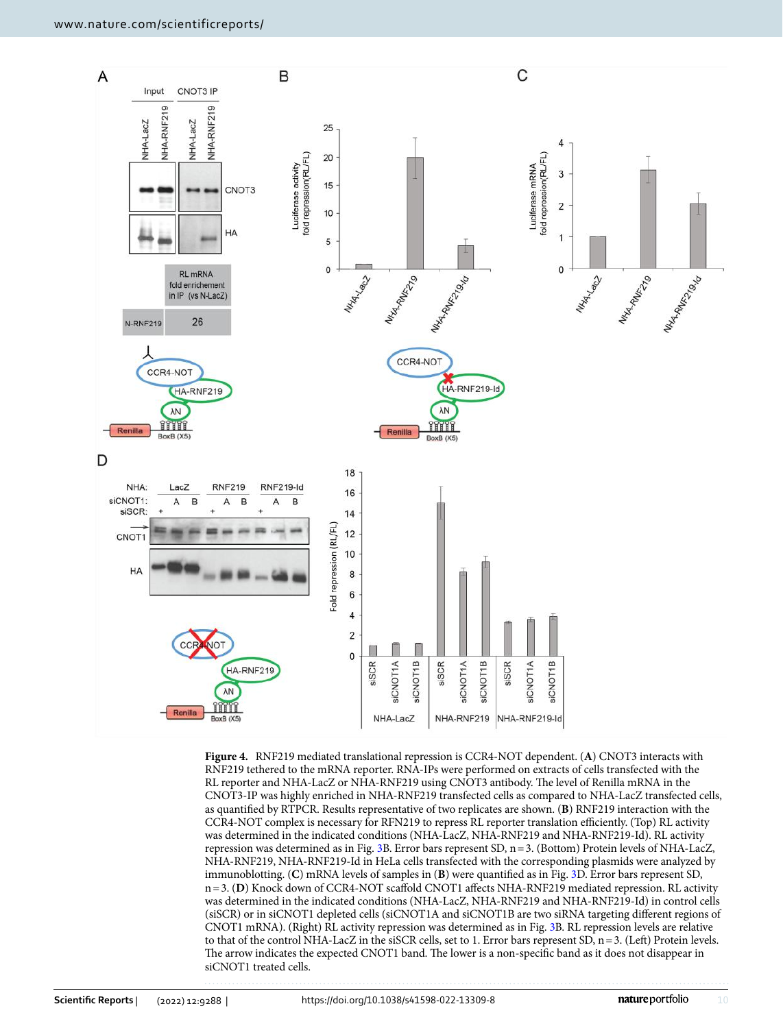

<span id="page-9-0"></span>**Figure 4.** RNF219 mediated translational repression is CCR4-NOT dependent. (**A**) CNOT3 interacts with RNF219 tethered to the mRNA reporter. RNA-IPs were performed on extracts of cells transfected with the RL reporter and NHA-LacZ or NHA-RNF219 using CNOT3 antibody. The level of Renilla mRNA in the CNOT3-IP was highly enriched in NHA-RNF219 transfected cells as compared to NHA-LacZ transfected cells, as quantifed by RTPCR. Results representative of two replicates are shown. (**B**) RNF219 interaction with the CCR4-NOT complex is necessary for RFN219 to repress RL reporter translation efficiently. (Top) RL activity was determined in the indicated conditions (NHA-LacZ, NHA-RNF219 and NHA-RNF219-Id). RL activity repression was determined as in Fig. [3](#page-8-0)B. Error bars represent SD, n=3. (Bottom) Protein levels of NHA-LacZ, NHA-RNF219, NHA-RNF219-Id in HeLa cells transfected with the corresponding plasmids were analyzed by immunoblotting. (**C**) mRNA levels of samples in (**B**) were quantifed as in Fig. [3D](#page-8-0). Error bars represent SD, n=3. (**D**) Knock down of CCR4-NOT scafold CNOT1 afects NHA-RNF219 mediated repression. RL activity was determined in the indicated conditions (NHA-LacZ, NHA-RNF219 and NHA-RNF219-Id) in control cells (siSCR) or in siCNOT1 depleted cells (siCNOT1A and siCNOT1B are two siRNA targeting diferent regions of CNOT1 mRNA). (Right) RL activity repression was determined as in Fig. [3](#page-8-0)B. RL repression levels are relative to that of the control NHA-LacZ in the siSCR cells, set to 1. Error bars represent SD, n = 3. (Left) Protein levels. The arrow indicates the expected CNOT1 band. The lower is a non-specific band as it does not disappear in siCNOT1 treated cells.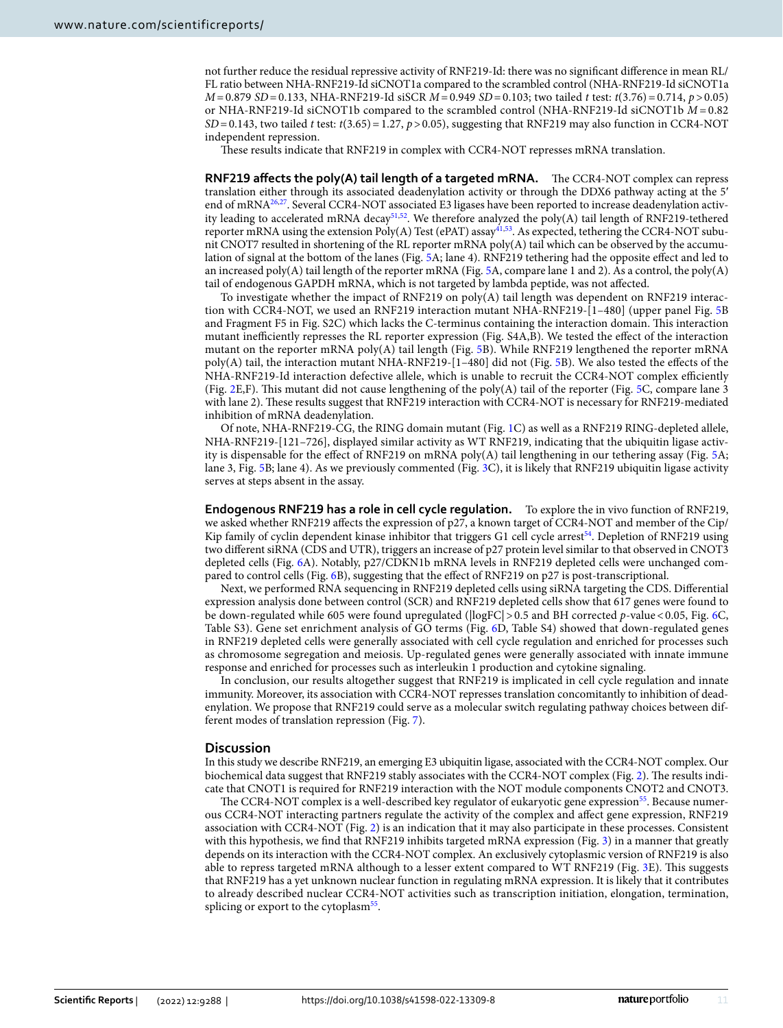not further reduce the residual repressive activity of RNF219-Id: there was no signifcant diference in mean RL/ FL ratio between NHA-RNF219-Id siCNOT1a compared to the scrambled control (NHA-RNF219-Id siCNOT1a *M*=0.879 *SD*=0.133, NHA-RNF219-Id siSCR *M*=0.949 *SD*=0.103; two tailed *t* test: *t*(3.76)=0.714, *p* > 0.05) or NHA-RNF219-Id siCNOT1b compared to the scrambled control (NHA-RNF219-Id siCNOT1b *M* = 0.82 *SD*=0.143, two tailed *t* test: *t*(3.65)=1.27, *p*>0.05), suggesting that RNF219 may also function in CCR4-NOT independent repression.

These results indicate that RNF219 in complex with CCR4-NOT represses mRNA translation.

**RNF219 affects the poly(A) tail length of a targeted mRNA.** The CCR4-NOT complex can repress translation either through its associated deadenylation activity or through the DDX6 pathway acting at the 5′ end of mRNA[26](#page-15-7),[27](#page-15-8). Several CCR4-NOT associated E3 ligases have been reported to increase deadenylation activity leading to accelerated mRNA decay<sup>51,52</sup>. We therefore analyzed the poly(A) tail length of RNF219-tethered reporter mRNA using the extension Poly(A) Test (ePAT) assay<sup>41,53</sup>. As expected, tethering the CCR4-NOT subunit CNOT7 resulted in shortening of the RL reporter mRNA poly(A) tail which can be observed by the accumulation of signal at the bottom of the lanes (Fig. [5](#page-11-0)A; lane 4). RNF219 tethering had the opposite efect and led to an increased poly(A) tail length of the reporter mRNA (Fig. [5A](#page-11-0), compare lane 1 and 2). As a control, the poly(A) tail of endogenous GAPDH mRNA, which is not targeted by lambda peptide, was not afected.

To investigate whether the impact of RNF219 on poly(A) tail length was dependent on RNF219 interaction with CCR4-NOT, we used an RNF219 interaction mutant NHA-RNF219-[1–480] (upper panel Fig. [5B](#page-11-0) and Fragment F5 in Fig. S2C) which lacks the C-terminus containing the interaction domain. This interaction mutant inefficiently represses the RL reporter expression (Fig. S4A,B). We tested the effect of the interaction mutant on the reporter mRNA poly $(A)$  tail length (Fig. [5](#page-11-0)B). While RNF219 lengthened the reporter mRNA poly(A) tail, the interaction mutant NHA-RNF219-[1–480] did not (Fig. [5B](#page-11-0)). We also tested the efects of the NHA-RNF219-Id interaction defective allele, which is unable to recruit the CCR4-NOT complex efficiently (Fig. [2](#page-6-0)E,F). Tis mutant did not cause lengthening of the poly(A) tail of the reporter (Fig. [5](#page-11-0)C, compare lane 3 with lane 2). These results suggest that RNF219 interaction with CCR4-NOT is necessary for RNF219-mediated inhibition of mRNA deadenylation.

Of note, NHA-RNF219-CG, the RING domain mutant (Fig. [1C](#page-3-0)) as well as a RNF219 RING-depleted allele, NHA-RNF219-[121–726], displayed similar activity as WT RNF219, indicating that the ubiquitin ligase activity is dispensable for the efect of RNF219 on mRNA poly(A) tail lengthening in our tethering assay (Fig. [5A](#page-11-0); lane 3, Fig. [5](#page-11-0)B; lane 4). As we previously commented (Fig. [3](#page-8-0)C), it is likely that RNF219 ubiquitin ligase activity serves at steps absent in the assay.

**Endogenous RNF219 has a role in cell cycle regulation.** To explore the in vivo function of RNF219, we asked whether RNF219 afects the expression of p27, a known target of CCR4-NOT and member of the Cip/ Kip family of cyclin dependent kinase inhibitor that triggers G1 cell cycle arrest<sup>54</sup>. Depletion of RNF219 using two diferent siRNA (CDS and UTR), triggers an increase of p27 protein level similar to that observed in CNOT3 depleted cells (Fig. [6A](#page-14-12)). Notably, p27/CDKN1b mRNA levels in RNF219 depleted cells were unchanged compared to control cells (Fig. [6](#page-14-12)B), suggesting that the efect of RNF219 on p27 is post-transcriptional.

Next, we performed RNA sequencing in RNF219 depleted cells using siRNA targeting the CDS. Diferential expression analysis done between control (SCR) and RNF219 depleted cells show that 617 genes were found to be down-regulated while 605 were found upregulated (|logFC| > 0.5 and BH corrected *p*-value<0.05, Fig. [6](#page-14-12)C, Table S3). Gene set enrichment analysis of GO terms (Fig. [6](#page-14-12)D, Table S4) showed that down-regulated genes in RNF219 depleted cells were generally associated with cell cycle regulation and enriched for processes such as chromosome segregation and meiosis. Up-regulated genes were generally associated with innate immune response and enriched for processes such as interleukin 1 production and cytokine signaling.

In conclusion, our results altogether suggest that RNF219 is implicated in cell cycle regulation and innate immunity. Moreover, its association with CCR4-NOT represses translation concomitantly to inhibition of deadenylation. We propose that RNF219 could serve as a molecular switch regulating pathway choices between different modes of translation repression (Fig. [7](#page-14-13)).

### **Discussion**

In this study we describe RNF219, an emerging E3 ubiquitin ligase, associated with the CCR4-NOT complex. Our biochemical data suggest that RNF219 stably associates with the CCR4-NOT complex (Fig. [2\)](#page-6-0). The results indicate that CNOT1 is required for RNF219 interaction with the NOT module components CNOT2 and CNOT3.

The CCR4-NOT complex is a well-described key regulator of eukaryotic gene expression<sup>55</sup>. Because numerous CCR4-NOT interacting partners regulate the activity of the complex and afect gene expression, RNF219 association with CCR4-NOT (Fig. [2\)](#page-6-0) is an indication that it may also participate in these processes. Consistent with this hypothesis, we fnd that RNF219 inhibits targeted mRNA expression (Fig. [3](#page-8-0)) in a manner that greatly depends on its interaction with the CCR4-NOT complex. An exclusively cytoplasmic version of RNF219 is also able to repress targeted mRNA although to a lesser extent compared to WT RNF219 (Fig. [3](#page-8-0)E). This suggests that RNF219 has a yet unknown nuclear function in regulating mRNA expression. It is likely that it contributes to already described nuclear CCR4-NOT activities such as transcription initiation, elongation, termination, splicing or export to the cytoplasm<sup>[55](#page-16-0)</sup>.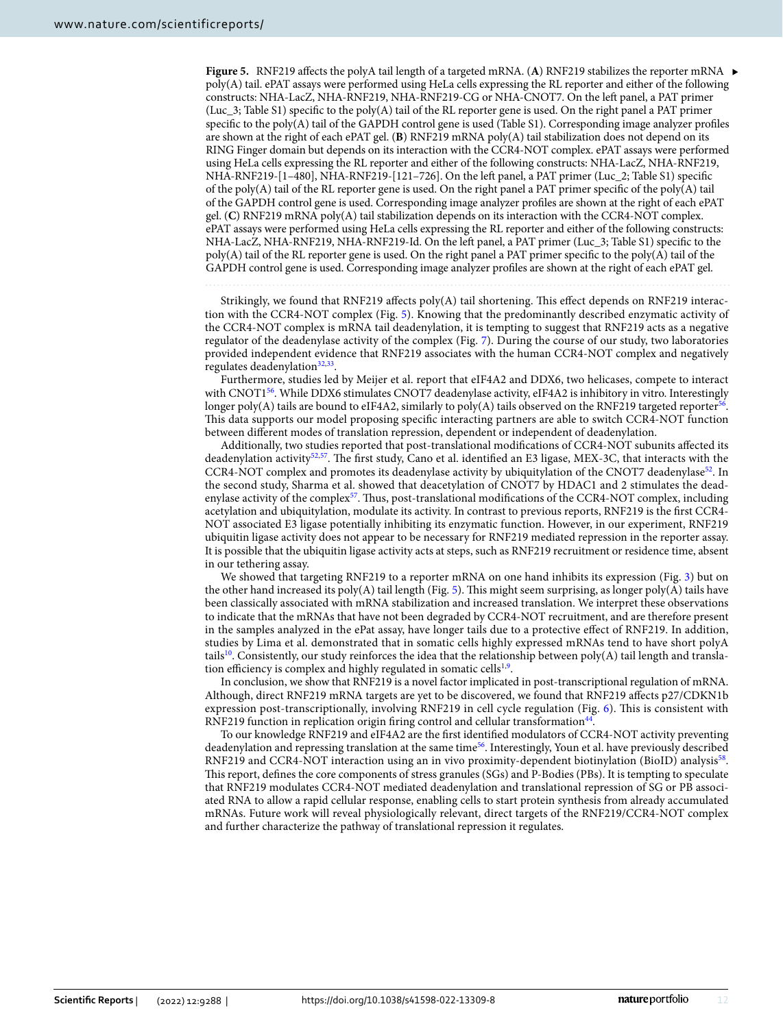<span id="page-11-0"></span>**Figure 5.** RNF219 affects the polyA tail length of a targeted mRNA. (**A**) RNF219 stabilizes the reporter mRNA ▶ poly(A) tail. ePAT assays were performed using HeLa cells expressing the RL reporter and either of the following constructs: NHA-LacZ, NHA-RNF219, NHA-RNF219-CG or NHA-CNOT7. On the lef panel, a PAT primer (Luc\_3; Table S1) specifc to the poly(A) tail of the RL reporter gene is used. On the right panel a PAT primer specifc to the poly(A) tail of the GAPDH control gene is used (Table S1). Corresponding image analyzer profles are shown at the right of each ePAT gel. (**B**) RNF219 mRNA poly(A) tail stabilization does not depend on its RING Finger domain but depends on its interaction with the CCR4-NOT complex. ePAT assays were performed using HeLa cells expressing the RL reporter and either of the following constructs: NHA-LacZ, NHA-RNF219, NHA-RNF219-[1–480], NHA-RNF219-[121–726]. On the lef panel, a PAT primer (Luc\_2; Table S1) specifc of the poly(A) tail of the RL reporter gene is used. On the right panel a PAT primer specifc of the poly(A) tail of the GAPDH control gene is used. Corresponding image analyzer profles are shown at the right of each ePAT gel. (**C**) RNF219 mRNA poly(A) tail stabilization depends on its interaction with the CCR4-NOT complex. ePAT assays were performed using HeLa cells expressing the RL reporter and either of the following constructs: NHA-LacZ, NHA-RNF219, NHA-RNF219-Id. On the lef panel, a PAT primer (Luc\_3; Table S1) specifc to the poly(A) tail of the RL reporter gene is used. On the right panel a PAT primer specifc to the poly(A) tail of the GAPDH control gene is used. Corresponding image analyzer profles are shown at the right of each ePAT gel.

Strikingly, we found that RNF219 affects poly(A) tail shortening. This effect depends on RNF219 interaction with the CCR4-NOT complex (Fig. [5\)](#page-11-0). Knowing that the predominantly described enzymatic activity of the CCR4-NOT complex is mRNA tail deadenylation, it is tempting to suggest that RNF219 acts as a negative regulator of the deadenylase activity of the complex (Fig. [7](#page-14-13)). During the course of our study, two laboratories provided independent evidence that RNF219 associates with the human CCR4-NOT complex and negatively regulates deadenylation $32,33$  $32,33$  $32,33$ 

Furthermore, studies led by Meijer et al. report that eIF4A2 and DDX6, two helicases, compete to interact with CNOT1<sup>56</sup>. While DDX6 stimulates CNOT7 deadenylase activity, eIF4A2 is inhibitory in vitro. Interestingly longer poly(A) tails are bound to eIF4A2, similarly to poly(A) tails observed on the RNF219 targeted reporter<sup>56</sup>. This data supports our model proposing specific interacting partners are able to switch CCR4-NOT function between diferent modes of translation repression, dependent or independent of deadenylation.

Additionally, two studies reported that post-translational modifcations of CCR4-NOT subunits afected its deadenylation activity<sup>[52](#page-15-31),[57](#page-16-2)</sup>. The first study, Cano et al. identified an E3 ligase, MEX-3C, that interacts with the CCR4-NOT complex and promotes its deadenylase activity by ubiquitylation of the CNOT7 deadenylase $52$ . In the second study, Sharma et al. showed that deacetylation of CNOT7 by HDAC1 and 2 stimulates the deadenylase activity of the complex<sup>57</sup>. Thus, post-translational modifications of the CCR4-NOT complex, including acetylation and ubiquitylation, modulate its activity. In contrast to previous reports, RNF219 is the frst CCR4- NOT associated E3 ligase potentially inhibiting its enzymatic function. However, in our experiment, RNF219 ubiquitin ligase activity does not appear to be necessary for RNF219 mediated repression in the reporter assay. It is possible that the ubiquitin ligase activity acts at steps, such as RNF219 recruitment or residence time, absent in our tethering assay.

We showed that targeting RNF219 to a reporter mRNA on one hand inhibits its expression (Fig. [3\)](#page-8-0) but on the other hand increased its poly(A) tail length (Fig. [5](#page-11-0)). This might seem surprising, as longer poly(A) tails have been classically associated with mRNA stabilization and increased translation. We interpret these observations to indicate that the mRNAs that have not been degraded by CCR4-NOT recruitment, and are therefore present in the samples analyzed in the ePat assay, have longer tails due to a protective efect of RNF219. In addition, studies by Lima et al. demonstrated that in somatic cells highly expressed mRNAs tend to have short polyA tails<sup>[10](#page-14-8)</sup>. Consistently, our study reinforces the idea that the relationship between poly(A) tail length and transla-tion efficiency is complex and highly regulated in somatic cells<sup>1[,9](#page-14-7)</sup>.

In conclusion, we show that RNF219 is a novel factor implicated in post-transcriptional regulation of mRNA. Although, direct RNF219 mRNA targets are yet to be discovered, we found that RNF219 afects p27/CDKN1b expression post-transcriptionally, involving RNF219 in cell cycle regulation (Fig. [6\)](#page-14-12). Tis is consistent with RNF219 function in replication origin firing control and cellular transformation<sup>44</sup>.

To our knowledge RNF219 and eIF4A2 are the frst identifed modulators of CCR4-NOT activity preventing deadenylation and repressing translation at the same tim[e56.](#page-16-1) Interestingly, Youn et al. have previously described RNF219 and CCR4-NOT interaction using an in vivo proximity-dependent biotinylation (BioID) analysis<sup>58</sup>. Tis report, defnes the core components of stress granules (SGs) and P-Bodies (PBs). It is tempting to speculate that RNF219 modulates CCR4-NOT mediated deadenylation and translational repression of SG or PB associated RNA to allow a rapid cellular response, enabling cells to start protein synthesis from already accumulated mRNAs. Future work will reveal physiologically relevant, direct targets of the RNF219/CCR4-NOT complex and further characterize the pathway of translational repression it regulates.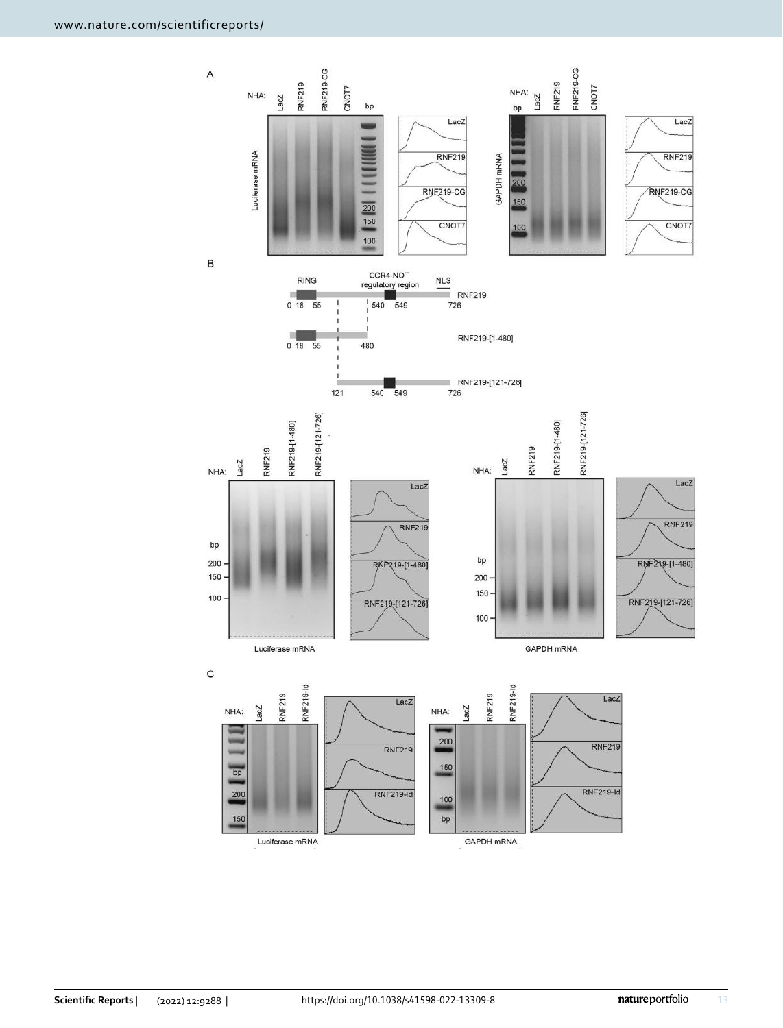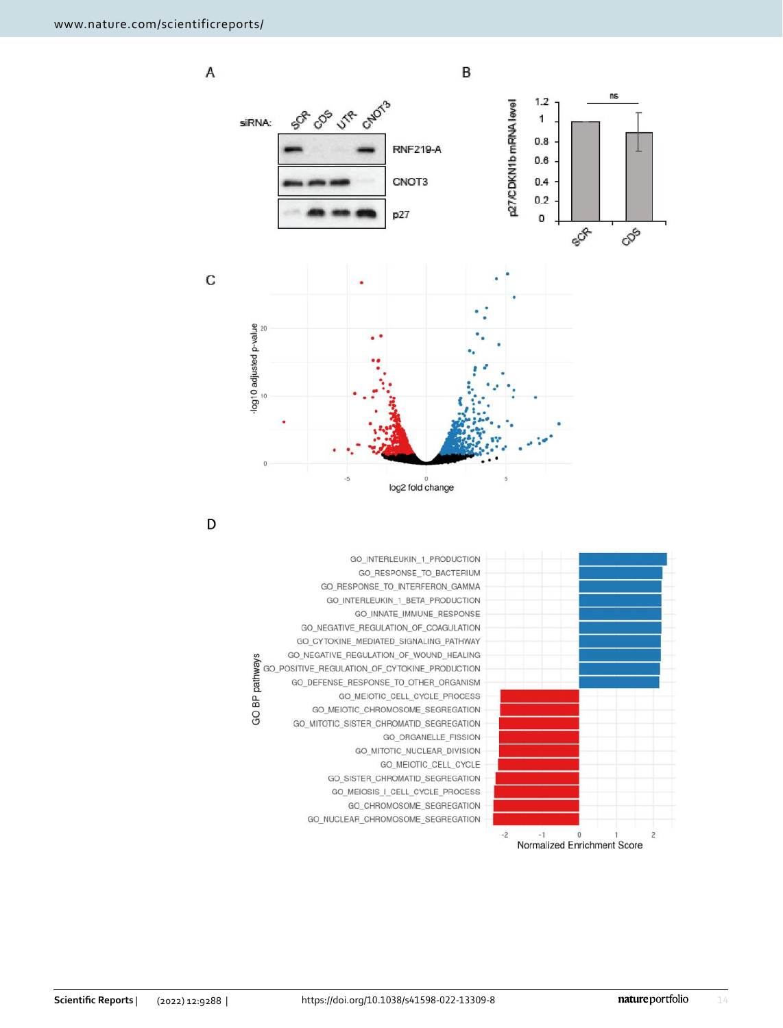$\mathbf C$ 



D

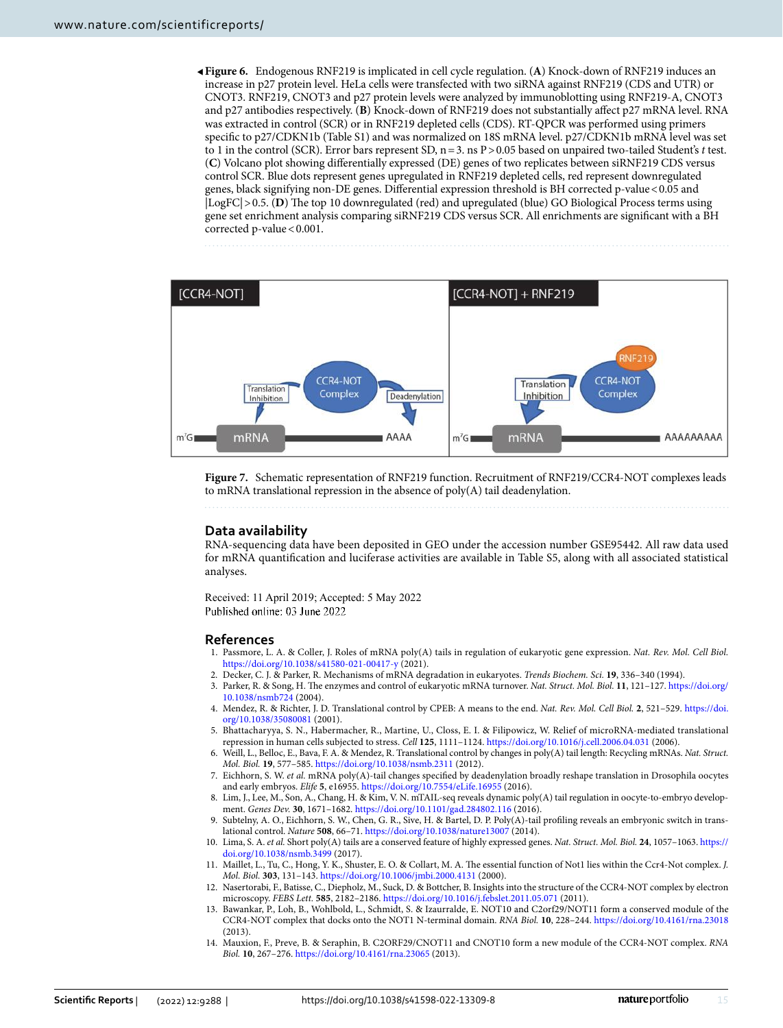<span id="page-14-12"></span>**Figure 6.** Endogenous RNF219 is implicated in cell cycle regulation. (**A**) Knock-down of RNF219 induces an ▸ increase in p27 protein level. HeLa cells were transfected with two siRNA against RNF219 (CDS and UTR) or CNOT3. RNF219, CNOT3 and p27 protein levels were analyzed by immunoblotting using RNF219-A, CNOT3 and p27 antibodies respectively. (**B**) Knock-down of RNF219 does not substantially afect p27 mRNA level. RNA was extracted in control (SCR) or in RNF219 depleted cells (CDS). RT-QPCR was performed using primers specifc to p27/CDKN1b (Table S1) and was normalized on 18S mRNA level. p27/CDKN1b mRNA level was set to 1 in the control (SCR). Error bars represent SD, n=3. ns P>0.05 based on unpaired two-tailed Student's *t* test. (**C**) Volcano plot showing diferentially expressed (DE) genes of two replicates between siRNF219 CDS versus control SCR. Blue dots represent genes upregulated in RNF219 depleted cells, red represent downregulated genes, black signifying non-DE genes. Diferential expression threshold is BH corrected p-value<0.05 and [LogFC|>0.5. (D) The top 10 downregulated (red) and upregulated (blue) GO Biological Process terms using gene set enrichment analysis comparing siRNF219 CDS versus SCR. All enrichments are signifcant with a BH corrected p-value < 0.001.



<span id="page-14-13"></span>**Figure 7.** Schematic representation of RNF219 function. Recruitment of RNF219/CCR4-NOT complexes leads to mRNA translational repression in the absence of poly(A) tail deadenylation.

### **Data availability**

RNA-sequencing data have been deposited in GEO under the accession number GSE95442. All raw data used for mRNA quantifcation and luciferase activities are available in Table S5, along with all associated statistical analyses.

Received: 11 April 2019; Accepted: 5 May 2022 Published online: 03 June 2022

#### **References**

- <span id="page-14-0"></span>1. Passmore, L. A. & Coller, J. Roles of mRNA poly(A) tails in regulation of eukaryotic gene expression. *Nat. Rev. Mol. Cell Biol.* <https://doi.org/10.1038/s41580-021-00417-y> (2021).
- <span id="page-14-1"></span>2. Decker, C. J. & Parker, R. Mechanisms of mRNA degradation in eukaryotes. *Trends Biochem. Sci.* **19**, 336–340 (1994).
- <span id="page-14-2"></span>3. Parker, R. & Song, H. Te enzymes and control of eukaryotic mRNA turnover. *Nat. Struct. Mol. Biol.* **11**, 121–127. [https://doi.org/](https://doi.org/10.1038/nsmb724) [10.1038/nsmb724](https://doi.org/10.1038/nsmb724) (2004).
- <span id="page-14-3"></span>4. Mendez, R. & Richter, J. D. Translational control by CPEB: A means to the end. *Nat. Rev. Mol. Cell Biol.* **2**, 521–529. [https://doi.](https://doi.org/10.1038/35080081) [org/10.1038/35080081](https://doi.org/10.1038/35080081) (2001).
- <span id="page-14-4"></span>5. Bhattacharyya, S. N., Habermacher, R., Martine, U., Closs, E. I. & Filipowicz, W. Relief of microRNA-mediated translational repression in human cells subjected to stress. *Cell* **125**, 1111–1124.<https://doi.org/10.1016/j.cell.2006.04.031> (2006).
- <span id="page-14-5"></span>6. Weill, L., Belloc, E., Bava, F. A. & Mendez, R. Translational control by changes in poly(A) tail length: Recycling mRNAs. *Nat. Struct. Mol. Biol.* **19**, 577–585. <https://doi.org/10.1038/nsmb.2311>(2012).
- 7. Eichhorn, S. W. *et al.* mRNA poly(A)-tail changes specifed by deadenylation broadly reshape translation in Drosophila oocytes and early embryos. *Elife* **5**, e16955. <https://doi.org/10.7554/eLife.16955>(2016).
- <span id="page-14-6"></span>8. Lim, J., Lee, M., Son, A., Chang, H. & Kim, V. N. mTAIL-seq reveals dynamic poly(A) tail regulation in oocyte-to-embryo development. *Genes Dev.* **30**, 1671–1682.<https://doi.org/10.1101/gad.284802.116> (2016).
- <span id="page-14-7"></span>9. Subtelny, A. O., Eichhorn, S. W., Chen, G. R., Sive, H. & Bartel, D. P. Poly(A)-tail profling reveals an embryonic switch in translational control. *Nature* **508**, 66–71. <https://doi.org/10.1038/nature13007> (2014).
- <span id="page-14-8"></span>10. Lima, S. A. *et al.* Short poly(A) tails are a conserved feature of highly expressed genes. *Nat. Struct. Mol. Biol.* **24**, 1057–1063. [https://](https://doi.org/10.1038/nsmb.3499) [doi.org/10.1038/nsmb.3499](https://doi.org/10.1038/nsmb.3499) (2017).
- <span id="page-14-9"></span>11. Maillet, L., Tu, C., Hong, Y. K., Shuster, E. O. & Collart, M. A. Te essential function of Not1 lies within the Ccr4-Not complex. *J. Mol. Biol.* **303**, 131–143. <https://doi.org/10.1006/jmbi.2000.4131> (2000).
- <span id="page-14-10"></span>12. Nasertorabi, F., Batisse, C., Diepholz, M., Suck, D. & Bottcher, B. Insights into the structure of the CCR4-NOT complex by electron microscopy. *FEBS Lett.* **585**, 2182–2186.<https://doi.org/10.1016/j.febslet.2011.05.071>(2011).
- <span id="page-14-11"></span>13. Bawankar, P., Loh, B., Wohlbold, L., Schmidt, S. & Izaurralde, E. NOT10 and C2orf29/NOT11 form a conserved module of the CCR4-NOT complex that docks onto the NOT1 N-terminal domain. *RNA Biol.* **10**, 228–244. <https://doi.org/10.4161/rna.23018> (2013).
- 14. Mauxion, F., Preve, B. & Seraphin, B. C2ORF29/CNOT11 and CNOT10 form a new module of the CCR4-NOT complex. *RNA Biol.* **10**, 267–276. <https://doi.org/10.4161/rna.23065>(2013).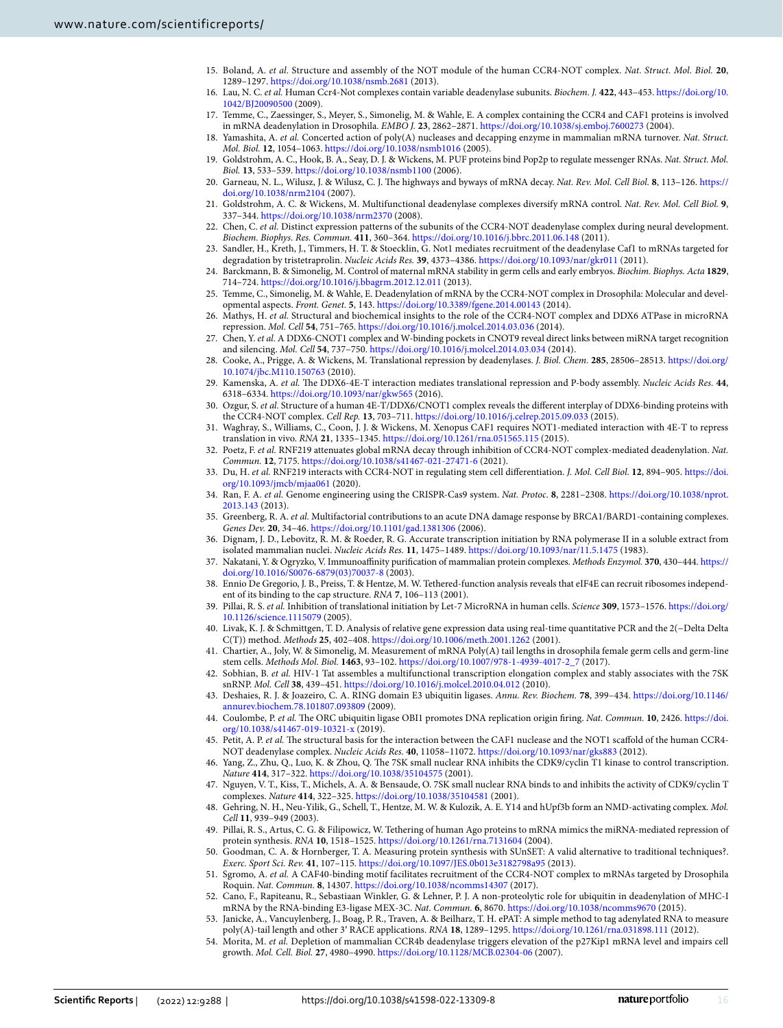- <span id="page-15-1"></span>15. Boland, A. *et al.* Structure and assembly of the NOT module of the human CCR4-NOT complex. *Nat. Struct. Mol. Biol.* **20**, 1289–1297. <https://doi.org/10.1038/nsmb.2681>(2013).
- <span id="page-15-0"></span>16. Lau, N. C. *et al.* Human Ccr4-Not complexes contain variable deadenylase subunits. *Biochem. J.* **422**, 443–453. [https://doi.org/10.](https://doi.org/10.1042/BJ20090500) [1042/BJ20090500](https://doi.org/10.1042/BJ20090500) (2009).
- <span id="page-15-2"></span>17. Temme, C., Zaessinger, S., Meyer, S., Simonelig, M. & Wahle, E. A complex containing the CCR4 and CAF1 proteins is involved in mRNA deadenylation in Drosophila. *EMBO J.* **23**, 2862–2871.<https://doi.org/10.1038/sj.emboj.7600273>(2004).
- <span id="page-15-3"></span>18. Yamashita, A. *et al.* Concerted action of poly(A) nucleases and decapping enzyme in mammalian mRNA turnover. *Nat. Struct. Mol. Biol.* **12**, 1054–1063.<https://doi.org/10.1038/nsmb1016>(2005).
- 19. Goldstrohm, A. C., Hook, B. A., Seay, D. J. & Wickens, M. PUF proteins bind Pop2p to regulate messenger RNAs. *Nat. Struct. Mol. Biol.* **13**, 533–539. <https://doi.org/10.1038/nsmb1100> (2006).
- 20. Garneau, N. L., Wilusz, J. & Wilusz, C. J. Te highways and byways of mRNA decay. *Nat. Rev. Mol. Cell Biol.* **8**, 113–126. [https://](https://doi.org/10.1038/nrm2104) [doi.org/10.1038/nrm2104](https://doi.org/10.1038/nrm2104) (2007).
- 21. Goldstrohm, A. C. & Wickens, M. Multifunctional deadenylase complexes diversify mRNA control. *Nat. Rev. Mol. Cell Biol.* **9**, 337–344. <https://doi.org/10.1038/nrm2370> (2008).
- 22. Chen, C. *et al.* Distinct expression patterns of the subunits of the CCR4-NOT deadenylase complex during neural development. *Biochem. Biophys. Res. Commun.* **411**, 360–364.<https://doi.org/10.1016/j.bbrc.2011.06.148>(2011).
- <span id="page-15-4"></span>23. Sandler, H., Kreth, J., Timmers, H. T. & Stoecklin, G. Not1 mediates recruitment of the deadenylase Caf1 to mRNAs targeted for degradation by tristetraprolin. *Nucleic Acids Res.* **39**, 4373–4386.<https://doi.org/10.1093/nar/gkr011> (2011).
- <span id="page-15-5"></span>24. Barckmann, B. & Simonelig, M. Control of maternal mRNA stability in germ cells and early embryos. *Biochim. Biophys. Acta* **1829**, 714–724. <https://doi.org/10.1016/j.bbagrm.2012.12.011>(2013).
- <span id="page-15-6"></span>25. Temme, C., Simonelig, M. & Wahle, E. Deadenylation of mRNA by the CCR4-NOT complex in Drosophila: Molecular and developmental aspects. *Front. Genet.* **5**, 143. <https://doi.org/10.3389/fgene.2014.00143> (2014).
- <span id="page-15-7"></span>26. Mathys, H. *et al.* Structural and biochemical insights to the role of the CCR4-NOT complex and DDX6 ATPase in microRNA repression. *Mol. Cell* **54**, 751–765. <https://doi.org/10.1016/j.molcel.2014.03.036> (2014).
- <span id="page-15-8"></span>27. Chen, Y. *et al.* A DDX6-CNOT1 complex and W-binding pockets in CNOT9 reveal direct links between miRNA target recognition and silencing. *Mol. Cell* **54**, 737–750.<https://doi.org/10.1016/j.molcel.2014.03.034> (2014).
- <span id="page-15-9"></span>28. Cooke, A., Prigge, A. & Wickens, M. Translational repression by deadenylases. *J. Biol. Chem.* **285**, 28506–28513. [https://doi.org/](https://doi.org/10.1074/jbc.M110.150763) [10.1074/jbc.M110.150763](https://doi.org/10.1074/jbc.M110.150763) (2010).
- 29. Kamenska, A. et al. The DDX6-4E-T interaction mediates translational repression and P-body assembly. *Nucleic Acids Res.* 44, 6318–6334. <https://doi.org/10.1093/nar/gkw565>(2016).
- 30. Ozgur, S. *et al.* Structure of a human 4E-T/DDX6/CNOT1 complex reveals the diferent interplay of DDX6-binding proteins with the CCR4-NOT complex. *Cell Rep.* **13**, 703–711. <https://doi.org/10.1016/j.celrep.2015.09.033>(2015).
- <span id="page-15-10"></span>31. Waghray, S., Williams, C., Coon, J. J. & Wickens, M. Xenopus CAF1 requires NOT1-mediated interaction with 4E-T to repress translation in vivo. *RNA* **21**, 1335–1345.<https://doi.org/10.1261/rna.051565.115>(2015).
- <span id="page-15-11"></span>32. Poetz, F. *et al.* RNF219 attenuates global mRNA decay through inhibition of CCR4-NOT complex-mediated deadenylation. *Nat. Commun.* **12**, 7175. <https://doi.org/10.1038/s41467-021-27471-6> (2021).
- <span id="page-15-12"></span>33. Du, H. *et al.* RNF219 interacts with CCR4-NOT in regulating stem cell diferentiation. *J. Mol. Cell Biol.* **12**, 894–905. [https://doi.](https://doi.org/10.1093/jmcb/mjaa061) [org/10.1093/jmcb/mjaa061](https://doi.org/10.1093/jmcb/mjaa061) (2020).
- <span id="page-15-13"></span>34. Ran, F. A. *et al.* Genome engineering using the CRISPR-Cas9 system. *Nat. Protoc.* **8**, 2281–2308. [https://doi.org/10.1038/nprot.](https://doi.org/10.1038/nprot.2013.143) [2013.143](https://doi.org/10.1038/nprot.2013.143) (2013).
- <span id="page-15-14"></span>35. Greenberg, R. A. *et al.* Multifactorial contributions to an acute DNA damage response by BRCA1/BARD1-containing complexes. *Genes Dev.* **20**, 34–46.<https://doi.org/10.1101/gad.1381306>(2006).
- <span id="page-15-15"></span>36. Dignam, J. D., Lebovitz, R. M. & Roeder, R. G. Accurate transcription initiation by RNA polymerase II in a soluble extract from isolated mammalian nuclei. *Nucleic Acids Res.* **11**, 1475–1489.<https://doi.org/10.1093/nar/11.5.1475> (1983).
- <span id="page-15-16"></span>37. Nakatani, Y. & Ogryzko, V. Immunoafnity purifcation of mammalian protein complexes. *Methods Enzymol.* **370**, 430–444. [https://](https://doi.org/10.1016/S0076-6879(03)70037-8) [doi.org/10.1016/S0076-6879\(03\)70037-8](https://doi.org/10.1016/S0076-6879(03)70037-8) (2003).
- <span id="page-15-17"></span>38. Ennio De Gregorio, J. B., Preiss, T. & Hentze, M. W. Tethered-function analysis reveals that eIF4E can recruit ribosomes independent of its binding to the cap structure. *RNA* **7**, 106–113 (2001).
- <span id="page-15-18"></span>39. Pillai, R. S. *et al.* Inhibition of translational initiation by Let-7 MicroRNA in human cells. *Science* **309**, 1573–1576. [https://doi.org/](https://doi.org/10.1126/science.1115079) [10.1126/science.1115079](https://doi.org/10.1126/science.1115079) (2005).
- <span id="page-15-19"></span>40. Livak, K. J. & Schmittgen, T. D. Analysis of relative gene expression data using real-time quantitative PCR and the 2(−Delta Delta C(T)) method. *Methods* **25**, 402–408. <https://doi.org/10.1006/meth.2001.1262> (2001).
- <span id="page-15-20"></span>41. Chartier, A., Joly, W. & Simonelig, M. Measurement of mRNA Poly(A) tail lengths in drosophila female germ cells and germ-line stem cells. *Methods Mol. Biol.* **1463**, 93–102. [https://doi.org/10.1007/978-1-4939-4017-2\\_7](https://doi.org/10.1007/978-1-4939-4017-2_7) (2017).
- <span id="page-15-21"></span>42. Sobhian, B. *et al.* HIV-1 Tat assembles a multifunctional transcription elongation complex and stably associates with the 7SK snRNP. *Mol. Cell* **38**, 439–451. <https://doi.org/10.1016/j.molcel.2010.04.012>(2010).
- <span id="page-15-22"></span>43. Deshaies, R. J. & Joazeiro, C. A. RING domain E3 ubiquitin ligases. *Annu. Rev. Biochem.* **78**, 399–434. [https://doi.org/10.1146/](https://doi.org/10.1146/annurev.biochem.78.101807.093809) [annurev.biochem.78.101807.093809](https://doi.org/10.1146/annurev.biochem.78.101807.093809) (2009).
- <span id="page-15-23"></span>44. Coulombe, P. et al. The ORC ubiquitin ligase OBI1 promotes DNA replication origin firing. Nat. Commun. 10, 2426. [https://doi.](https://doi.org/10.1038/s41467-019-10321-x) [org/10.1038/s41467-019-10321-x](https://doi.org/10.1038/s41467-019-10321-x) (2019).
- <span id="page-15-24"></span>45. Petit, A. P. et al. The structural basis for the interaction between the CAF1 nuclease and the NOT1 scaffold of the human CCR4-NOT deadenylase complex. *Nucleic Acids Res.* **40**, 11058–11072. <https://doi.org/10.1093/nar/gks883> (2012).
- <span id="page-15-25"></span>46. Yang, Z., Zhu, Q., Luo, K. & Zhou, Q. Te 7SK small nuclear RNA inhibits the CDK9/cyclin T1 kinase to control transcription. *Nature* **414**, 317–322.<https://doi.org/10.1038/35104575>(2001).
- <span id="page-15-26"></span>47. Nguyen, V. T., Kiss, T., Michels, A. A. & Bensaude, O. 7SK small nuclear RNA binds to and inhibits the activity of CDK9/cyclin T complexes. *Nature* **414**, 322–325.<https://doi.org/10.1038/35104581>(2001).
- <span id="page-15-27"></span>48. Gehring, N. H., Neu-Yilik, G., Schell, T., Hentze, M. W. & Kulozik, A. E. Y14 and hUpf3b form an NMD-activating complex. *Mol. Cell* **11**, 939–949 (2003).
- <span id="page-15-28"></span>49. Pillai, R. S., Artus, C. G. & Filipowicz, W. Tethering of human Ago proteins to mRNA mimics the miRNA-mediated repression of protein synthesis. *RNA* **10**, 1518–1525. <https://doi.org/10.1261/rna.7131604> (2004).
- <span id="page-15-29"></span>50. Goodman, C. A. & Hornberger, T. A. Measuring protein synthesis with SUnSET: A valid alternative to traditional techniques?. *Exerc. Sport Sci. Rev.* **41**, 107–115.<https://doi.org/10.1097/JES.0b013e3182798a95>(2013).
- <span id="page-15-30"></span>51. Sgromo, A. *et al.* A CAF40-binding motif facilitates recruitment of the CCR4-NOT complex to mRNAs targeted by Drosophila Roquin. *Nat. Commun.* **8**, 14307.<https://doi.org/10.1038/ncomms14307> (2017).
- <span id="page-15-31"></span>52. Cano, F., Rapiteanu, R., Sebastiaan Winkler, G. & Lehner, P. J. A non-proteolytic role for ubiquitin in deadenylation of MHC-I mRNA by the RNA-binding E3-ligase MEX-3C. *Nat. Commun.* **6**, 8670.<https://doi.org/10.1038/ncomms9670>(2015).
- <span id="page-15-32"></span>53. Janicke, A., Vancuylenberg, J., Boag, P. R., Traven, A. & Beilharz, T. H. ePAT: A simple method to tag adenylated RNA to measure poly(A)-tail length and other 3′ RACE applications. *RNA* **18**, 1289–1295. <https://doi.org/10.1261/rna.031898.111> (2012).
- <span id="page-15-33"></span>54. Morita, M. *et al.* Depletion of mammalian CCR4b deadenylase triggers elevation of the p27Kip1 mRNA level and impairs cell growth. *Mol. Cell. Biol.* **27**, 4980–4990.<https://doi.org/10.1128/MCB.02304-06> (2007).